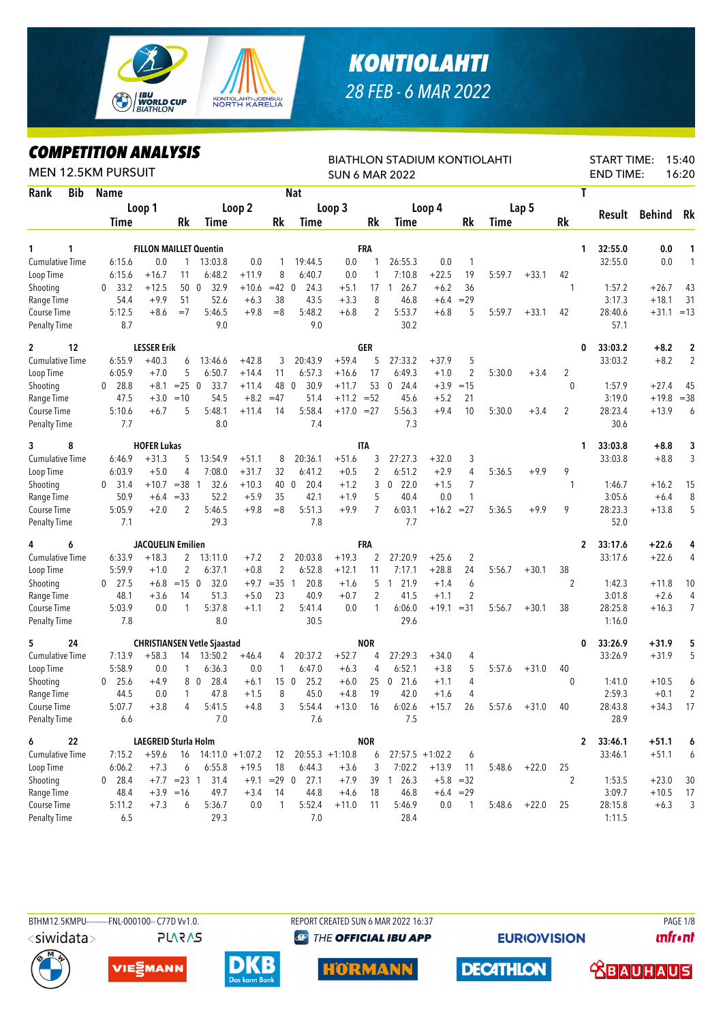

## *KONTIOLAHTI 28 FEB - 6 MAR 2022*

## *COMPETITION ANALYSIS*

| LUMPEIIIIUN ANALYƏIƏ<br><b>MEN 12.5KM PURSUIT</b> |                      |                      |                |                                    |         |                |                    |                   |                | <b>BIATHLON STADIUM KONTIOLAHTI</b><br><b>SUN 6 MAR 2022</b> |                    |                |             |                |                | <b>START TIME:</b><br><b>END TIME:</b> |              | 15:40<br>16:20 |
|---------------------------------------------------|----------------------|----------------------|----------------|------------------------------------|---------|----------------|--------------------|-------------------|----------------|--------------------------------------------------------------|--------------------|----------------|-------------|----------------|----------------|----------------------------------------|--------------|----------------|
| Rank<br><b>Bib</b>                                | Name                 |                      |                |                                    |         |                | <b>Nat</b>         |                   |                |                                                              |                    |                |             |                |                | T                                      |              |                |
|                                                   |                      | Loop 1               |                |                                    | Loop 2  |                |                    | Loop 3            |                |                                                              | Loop 4             |                |             | Lap 5          |                |                                        |              |                |
|                                                   | Time                 |                      | Rk             | Time                               |         | Rk             | <b>Time</b>        |                   | Rk             | Time                                                         |                    | Rk             | <b>Time</b> |                | <b>Rk</b>      | Result                                 | Behind       | Rk             |
| 1<br>1                                            |                      |                      |                | <b>FILLON MAILLET Quentin</b>      |         |                |                    |                   | FRA            |                                                              |                    |                |             |                |                | 32:55.0<br>1                           | 0.0          | 1              |
| <b>Cumulative Time</b>                            | 6:15.6               | 0.0                  | $\mathbf{1}$   | 13:03.8                            | 0.0     | 1              | 19:44.5            | 0.0               | 1              | 26:55.3                                                      | 0.0                | $\mathbf{1}$   |             |                |                | 32:55.0                                | 0.0          | 1              |
| Loop Time                                         | 6:15.6               | $+16.7$              | 11             | 6:48.2                             | $+11.9$ | 8              | 6:40.7             | 0.0               | 1              | 7:10.8                                                       | $+22.5$            | 19             | 5:59.7      | $+33.1$        | 42             |                                        |              |                |
| Shooting                                          | 33.2<br>$\mathbf{0}$ | $+12.5$              |                | 32.9<br>50 0                       | $+10.6$ | $=42$ 0        | 24.3               | $+5.1$            | 17             | 26.7<br>$\mathbf{1}$                                         | $+6.2$             | 36             |             |                | 1              | 1:57.2                                 | $+26.7$      | 43             |
| Range Time                                        | 54.4                 | $+9.9$               | 51             | 52.6                               | $+6.3$  | 38             | 43.5               | $+3.3$            | 8              | 46.8                                                         | $+6.4$             | $=29$          |             |                |                | 3:17.3                                 | $+18.1$      | 31             |
| Course Time                                       | 5:12.5               | $+8.6$               | $=7$           | 5:46.5                             | $+9.8$  | $=8$           | 5:48.2             | $+6.8$            | 2              | 5:53.7                                                       | $+6.8$             | 5              | 5:59.7      | $+33.1$        | 42             | 28:40.6                                | $+31.1 = 13$ |                |
| <b>Penalty Time</b>                               | 8.7                  |                      |                | 9.0                                |         |                | 9.0                |                   |                | 30.2                                                         |                    |                |             |                |                | 57.1                                   |              |                |
| 12<br>$\mathbf{2}$                                |                      | <b>LESSER Erik</b>   |                |                                    |         |                |                    |                   | GER            |                                                              |                    |                |             |                |                | 33:03.2<br>0                           | $+8.2$       | $\overline{2}$ |
| <b>Cumulative Time</b>                            | 6:55.9               | $+40.3$              | 6              | 13:46.6                            | $+42.8$ | 3              | 20:43.9            | $+59.4$           | 5              | 27:33.2                                                      | $+37.9$            | 5              |             |                |                | 33:03.2                                | $+8.2$       | $\overline{2}$ |
| Loop Time                                         | 6:05.9               | $+7.0$               | 5              | 6:50.7                             | $+14.4$ | 11             | 6:57.3             | $+16.6$           | 17             | 6:49.3                                                       | $+1.0$             | 2              | 5:30.0      | $+3.4$         | 2              |                                        |              |                |
| Shooting                                          | 28.8<br>$^{0}$       | $+8.1$               | $= 25 \ 0$     | 33.7                               | $+11.4$ | 48 0           | 30.9               | $+11.7$           | 53             | 24.4<br>$\mathbf{0}$                                         | $+3.9$             | $=15$          |             |                | $\mathbf{0}$   | 1:57.9                                 | $+27.4$      | 45             |
| Range Time                                        | 47.5                 | $+3.0$               | $=10$          | 54.5                               | $+8.2$  | $=47$          | 51.4               | $+11.2 = 52$      |                | 45.6                                                         | $+5.2$             | 21             |             |                |                | 3:19.0                                 | $+19.8$      | $= 38$         |
| Course Time                                       | 5:10.6               | $+6.7$               | 5              | 5:48.1                             | $+11.4$ | 14             | 5:58.4             | $+17.0 = 27$      |                | 5:56.3                                                       | $+9.4$             | 10             | 5:30.0      | $+3.4$         | $\overline{2}$ | 28:23.4                                | $+13.9$      | 6              |
| <b>Penalty Time</b>                               | 7.7                  |                      |                | 8.0                                |         |                | 7.4                |                   |                | 7.3                                                          |                    |                |             |                |                | 30.6                                   |              |                |
| 8<br>3                                            |                      | <b>HOFER Lukas</b>   |                |                                    |         |                |                    |                   | <b>ITA</b>     |                                                              |                    |                |             |                |                | 33:03.8<br>1                           | $+8.8$       | 3              |
| <b>Cumulative Time</b>                            | 6:46.9               | $+31.3$              | 5              | 13:54.9                            | $+51.1$ | 8              | 20:36.1            | $+51.6$           | 3              | 27:27.3                                                      | $+32.0$            | 3              |             |                |                | 33:03.8                                | $+8.8$       | 3              |
| Loop Time                                         | 6:03.9               | $+5.0$               | 4              | 7:08.0                             | $+31.7$ | 32             | 6:41.2             | $+0.5$            | $\overline{2}$ | 6:51.2                                                       | $+2.9$             | $\overline{4}$ | 5:36.5      | $+9.9$         | 9              |                                        |              |                |
| Shooting                                          | 31.4<br>$\mathbf{0}$ | $+10.7$              | $=38$ 1        | 32.6                               | $+10.3$ | 40 0           | 20.4               | $+1.2$            | 3              | 22.0<br>$\mathbf 0$                                          | $+1.5$             | 7              |             |                | $\mathbf{1}$   | 1:46.7                                 | $+16.2$      | 15             |
| Range Time                                        | 50.9                 | $+6.4$               | $= 33$         | 52.2                               | $+5.9$  | 35             | 42.1               | $+1.9$            | 5              | 40.4                                                         | 0.0                | 1              |             |                |                | 3:05.6                                 | $+6.4$       | 8              |
| Course Time                                       | 5:05.9               | $+2.0$               | 2              | 5:46.5                             | $+9.8$  | $=8$           | 5:51.3             | $+9.9$            | $\overline{7}$ | 6:03.1                                                       | $+16.2 = 27$       |                | 5:36.5      | $+9.9$         | 9              | 28:23.3                                | $+13.8$      | 5              |
| <b>Penalty Time</b>                               | 7.1                  |                      |                | 29.3                               |         |                | 7.8                |                   |                | 7.7                                                          |                    |                |             |                |                | 52.0                                   |              |                |
| 6<br>4                                            |                      | JACQUELIN Emilien    |                |                                    |         |                |                    |                   | FRA            |                                                              |                    |                |             |                |                | $\mathbf{2}$<br>33:17.6                | $+22.6$      | 4              |
| <b>Cumulative Time</b>                            | 6:33.9               | $+18.3$              | 2              | 13:11.0                            | $+7.2$  | 2              | 20:03.8            | $+19.3$           | 2              | 27:20.9                                                      | $+25.6$            | $\overline{2}$ |             |                |                | 33:17.6                                | $+22.6$      | 4              |
| Loop Time                                         | 5:59.9               | $+1.0$               | $\overline{2}$ | 6:37.1                             | $+0.8$  | 2              | 6:52.8             | $+12.1$           | 11             | 7:17.1                                                       | $+28.8$            | 24             | 5:56.7      | $+30.1$        | 38             |                                        |              |                |
| Shooting                                          | $0$ 27.5             | $+6.8$               | $=15$ 0        | 32.0                               | $+9.7$  | $=35$ 1        | 20.8               | $+1.6$            | 5              | 1 21.9                                                       | $+1.4$             | 6              |             |                | $\overline{2}$ | 1:42.3                                 | +11.8        | 10             |
| Range Time                                        | 48.1                 | $+3.6$               | 14             | 51.3                               | $+5.0$  | 23             | 40.9               | $+0.7$            | 2              | 41.5                                                         | $+1.1$             | 2              |             |                |                | 3:01.8                                 | $+2.6$       | 4              |
| Course Time                                       | 5:03.9               | 0.0                  | $\mathbf{1}$   | 5:37.8                             | $+1.1$  | $\overline{2}$ | 5:41.4             | 0.0               | 1              | 6:06.0                                                       | $+19.1 = 31$       |                | 5:56.7      | $+30.1$        | 38             | 28:25.8                                | $+16.3$      | $\overline{7}$ |
| <b>Penalty Time</b>                               | 7.8                  |                      |                | 8.0                                |         |                | 30.5               |                   |                | 29.6                                                         |                    |                |             |                |                | 1:16.0                                 |              |                |
| 5<br>24                                           |                      |                      |                | <b>CHRISTIANSEN Vetle Sjaastad</b> |         |                |                    |                   | <b>NOR</b>     |                                                              |                    |                |             |                |                | 33:26.9<br>0                           | $+31.9$      | 5              |
| Cumulative Time                                   | 7:13.9               | $+58.3$              | 14             | 13:50.2                            | $+46.4$ | 4              | 20:37.2            | $+52.7$           | 4              | 27:29.3                                                      | $+34.0$            | 4              |             |                |                | 33:26.9                                | $+31.9$      | 5              |
| Loop Time                                         | 5:58.9               | 0.0                  | 1              | 6:36.3                             | 0.0     | 1              | 6:47.0             | $+6.3$            | 4              | 6:52.1                                                       | $+3.8$             | 5              | 5:57.6      | $+31.0$        | 40             |                                        |              |                |
| Shooting                                          | 25.6<br>$\mathbf{0}$ | $+4.9$               |                | 8 0<br>28.4                        | $+6.1$  | 150            | 25.2               | $+6.0$            | 25             | $\overline{0}$<br>21.6                                       | $+1.1$             | $\overline{4}$ |             |                | $\mathbf{0}$   | 1:41.0                                 | $+10.5$      | 6              |
| Range Time                                        | 44.5                 | 0.0                  | $\mathbf{1}$   | 47.8                               | $+1.5$  | 8              | 45.0               | $+4.8$            | 19             | 42.0                                                         | $+1.6$             | 4              |             |                |                | 2:59.3                                 | $+0.1$       | 2              |
| Course Time                                       | 5:07.7               | $+3.8$               | 4              | 5:41.5                             | $+4.8$  | 3              | 5:54.4             | $+13.0$           | 16             | 6:02.6                                                       | $+15.7$            | 26             | 5:57.6      | $+31.0$        | 40             | 28:43.8                                | $+34.3$      | 17             |
| <b>Penalty Time</b>                               | 6.6                  |                      |                | 7.0                                |         |                | 7.6                |                   |                | 7.5                                                          |                    |                |             |                |                | 28.9                                   |              |                |
| 6<br>22                                           |                      | LAEGREID Sturla Holm |                |                                    |         |                |                    |                   | <b>NOR</b>     |                                                              |                    |                |             |                |                | 33:46.1<br>2                           | $+51.1$      | 6              |
| <b>Cumulative Time</b>                            | 7:15.2               | $+59.6$              |                | $16$ 14:11.0 +1:07.2               |         | 12             |                    | $20:55.3 +1:10.8$ | 6              |                                                              | $27:57.5 + 1:02.2$ | 6              |             |                |                | 33:46.1                                | $+51.1$      | 6              |
| Loop Time                                         | 6:06.2               | $+7.3$               | 6              | 6:55.8                             | $+19.5$ | 18             | 6:44.3             | $+3.6$            | 3              | 7:02.2                                                       | $+13.9$            | -11            |             | $5:48.6 +22.0$ | 25             |                                        |              |                |
| Shooting                                          | $0$ 28.4             |                      | $+7.7$ = 23 1  | 31.4                               |         |                | $+9.1$ = 29 0 27.1 | $+7.9$            |                | 39 1 26.3                                                    |                    | $+5.8 = 32$    |             |                | $\overline{2}$ | 1:53.5                                 | $+23.0$      | 30             |
| Range Time                                        | 48.4                 |                      | $+3.9 = 16$    | 49.7                               | $+3.4$  | 14             | 44.8               | $+4.6$            | 18             | 46.8                                                         |                    | $+6.4 = 29$    |             |                |                | 3:09.7                                 | $+10.5$      | 17             |
| Course Time                                       | 5:11.2               | $+7.3$               | 6              | 5:36.7                             | 0.0     | 1              | 5:52.4             | $+11.0$           | 11             | 5:46.9                                                       | 0.0                | $\overline{1}$ |             | $5:48.6$ +22.0 | 25             | 28:15.8                                | $+6.3$       | 3              |
| <b>Penalty Time</b>                               | 6.5                  |                      |                | 29.3                               |         |                | 7.0                |                   |                | 28.4                                                         |                    |                |             |                |                | 1:11.5                                 |              |                |

<siwidata>

**PLARAS** 

BTHM12.5KMPU---------FNL-000100-- C77D Vv1.0. REPORT CREATED SUN 6 MAR 2022 16:37 PAGE 1/8 **@ THE OFFICIAL IBU APP** 

**EURIO)VISION** 

**unfront** 











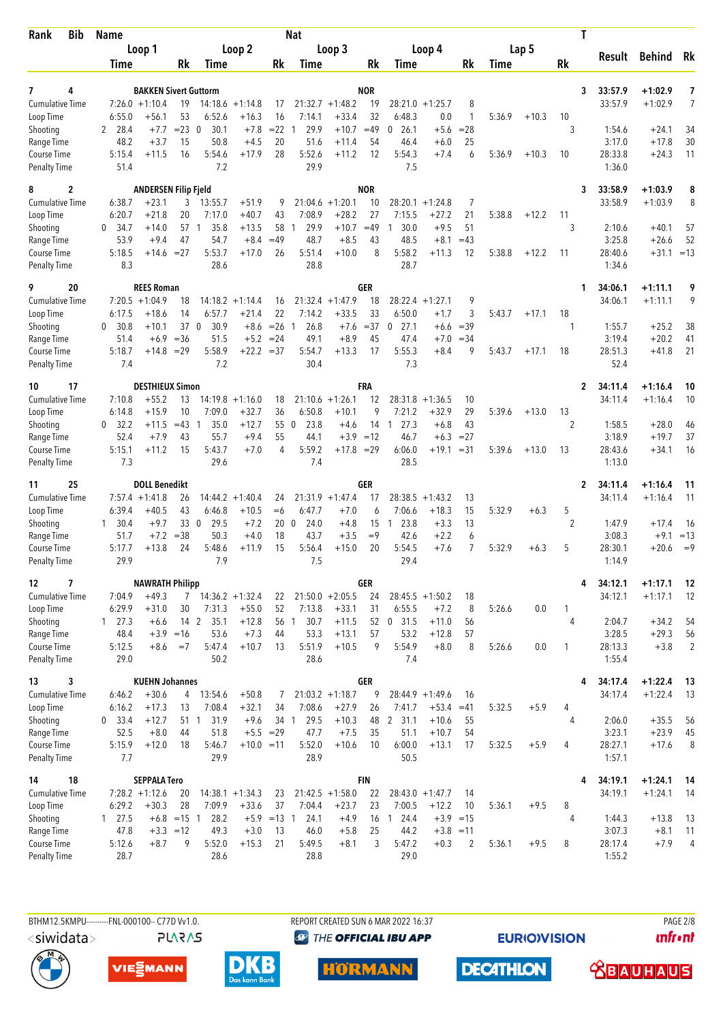| <b>Bib</b><br>Rank                        |    | <b>Name</b>         |                                                  |                     |                      |                    |                       | <b>Nat</b>     |                    |                  |                      |                       |                |             |         | T              |                    |                        |                      |
|-------------------------------------------|----|---------------------|--------------------------------------------------|---------------------|----------------------|--------------------|-----------------------|----------------|--------------------|------------------|----------------------|-----------------------|----------------|-------------|---------|----------------|--------------------|------------------------|----------------------|
|                                           |    |                     | Loop 1                                           |                     |                      | Loop 2             |                       |                | Loop 3             |                  |                      | Loop 4                |                |             | Lap 5   |                |                    |                        |                      |
|                                           |    | Time                |                                                  | Rk                  | <b>Time</b>          |                    | Rk                    | Time           |                    | Rk               | Time                 |                       | Rk             | <b>Time</b> |         | Rk             | Result             | <b>Behind</b>          | Rk                   |
|                                           |    |                     |                                                  |                     |                      |                    |                       |                |                    |                  |                      |                       |                |             |         |                |                    |                        |                      |
| 7<br><b>Cumulative Time</b>               | 4  |                     | <b>BAKKEN Sivert Guttorm</b><br>$7:26.0 +1:10.4$ | 19                  |                      | $14:18.6 + 1:14.8$ | 17                    |                | $21:32.7 +1:48.2$  | <b>NOR</b><br>19 | 28:21.0              | $+1:25.7$             | 8              |             |         | 3              | 33:57.9<br>33:57.9 | $+1:02.9$<br>$+1:02.9$ | 7<br>7               |
| Loop Time                                 |    | 6:55.0              | $+56.1$                                          | 53                  | 6:52.6               | $+16.3$            | 16                    | 7:14.1         | $+33.4$            | 32               | 6:48.3               | 0.0                   | $\mathbf{1}$   | 5:36.9      | $+10.3$ | 10             |                    |                        |                      |
| Shooting                                  |    | 28.4<br>2           | $+7.7$                                           | $= 23$              | 30.1<br>$\mathbf 0$  | $+7.8$             | $=22$                 | 29.9<br>1      | $+10.7$            | $=49$            | 26.1<br>0            | $+5.6$                | $= 28$         |             |         | 3              | 1:54.6             | $+24.1$                | 34                   |
| Range Time                                |    | 48.2                | $+3.7$                                           | 15                  | 50.8                 | $+4.5$             | 20                    | 51.6           | $+11.4$            | 54               | 46.4                 | $+6.0$                | 25             |             |         |                | 3:17.0             | $+17.8$                | 30                   |
| <b>Course Time</b><br><b>Penalty Time</b> |    | 5:15.4<br>51.4      | $+11.5$                                          | 16                  | 5:54.6<br>7.2        | $+17.9$            | 28                    | 5:52.6<br>29.9 | $+11.2$            | 12               | 5:54.3<br>7.5        | $+7.4$                | 6              | 5:36.9      | $+10.3$ | 10             | 28:33.8<br>1:36.0  | $+24.3$                | 11                   |
| 8                                         | 2  |                     | <b>ANDERSEN Filip Fjeld</b>                      |                     |                      |                    |                       |                |                    | <b>NOR</b>       |                      |                       |                |             |         | 3              | 33:58.9            | $+1:03.9$              | 8                    |
| <b>Cumulative Time</b>                    |    | 6:38.7              | $+23.1$                                          | 3                   | 13:55.7              | $+51.9$            | 9                     |                | $21:04.6 + 1:20.1$ | 10               | 28:20.1              | $+1:24.8$             | 7              |             |         |                | 33:58.9            | $+1:03.9$              | 8                    |
| Loop Time                                 |    | 6:20.7              | $+21.8$                                          | 20                  | 7:17.0               | $+40.7$            | 43                    | 7:08.9         | $+28.2$            | 27               | 7:15.5               | $+27.2$               | 21             | 5:38.8      | $+12.2$ | 11             |                    |                        |                      |
| Shooting                                  |    | 0<br>34.7           | +14.0                                            | 57 1                | 35.8                 | $+13.5$            | 58                    | 29.9<br>-1     | $+10.7$            | $=49$            | 30.0<br>-1           | +9.5                  | 51             |             |         | 3              | 2:10.6             | $+40.1$                | 57                   |
| Range Time                                |    | 53.9                | $+9.4$                                           | 47                  | 54.7                 | $+8.4$             | $=49$                 | 48.7           | $+8.5$             | 43               | 48.5                 | $+8.1$                | $=43$          |             |         |                | 3:25.8             | $+26.6$                | 52                   |
| Course Time                               |    | 5:18.5              | $+14.6 = 27$                                     |                     | 5:53.7               | $+17.0$            | 26                    | 5:51.4         | $+10.0$            | 8                | 5:58.2               | $+11.3$               | 12             | 5:38.8      | $+12.2$ | -11            | 28:40.6            | $+31.1 = 13$           |                      |
| <b>Penalty Time</b>                       |    | 8.3                 |                                                  |                     | 28.6                 |                    |                       | 28.8           |                    |                  | 28.7                 |                       |                |             |         |                | 1:34.6             |                        |                      |
| 9<br><b>Cumulative Time</b>               | 20 |                     | <b>REES Roman</b><br>$7:20.5 +1:04.9$            | 18                  | 14:18.2              | $+1:14.4$          | 16                    | 21:32.4        | $+1:47.9$          | GER<br>18        |                      | $28:22.4 +1:27.1$     | 9              |             |         | 1              | 34:06.1<br>34:06.1 | $+1:11.1$<br>$+1:11.1$ | 9<br>9               |
| Loop Time                                 |    | 6:17.5              | $+18.6$                                          | 14                  | 6:57.7               | $+21.4$            | 22                    | 7:14.2         | $+33.5$            | 33               | 6:50.0               | $+1.7$                | 3              | 5:43.7      | $+17.1$ | 18             |                    |                        |                      |
| Shooting                                  |    | 30.8<br>0           | $+10.1$                                          | 37 0                | 30.9                 | $+8.6$             | $=26$                 | 26.8<br>-1     | $+7.6$             | $= 37$           | 27.1<br>0            | $+6.6$                | $=39$          |             |         | 1              | 1:55.7             | $+25.2$                | 38                   |
| Range Time                                |    | 51.4                | $+6.9$                                           | $=36$               | 51.5                 | $+5.2$             | $= 24$                | 49.1           | $+8.9$             | 45               | 47.4                 | $+7.0$                | $= 34$         |             |         |                | 3:19.4             | $+20.2$                | 41                   |
| Course Time                               |    | 5:18.7              | $+14.8$                                          | $=29$               | 5:58.9               | $+22.2 = 37$       |                       | 5:54.7         | $+13.3$            | 17               | 5:55.3               | +8.4                  | 9              | 5:43.7      | $+17.1$ | 18             | 28:51.3            | $+41.8$                | 21                   |
| <b>Penalty Time</b>                       |    | 7.4                 |                                                  |                     | 7.2                  |                    |                       | 30.4           |                    |                  | 7.3                  |                       |                |             |         |                | 52.4               |                        |                      |
| 10                                        | 17 |                     | <b>DESTHIEUX Simon</b>                           |                     |                      |                    |                       |                |                    | FRA              |                      |                       |                |             |         | $\mathbf{2}$   | 34:11.4            | $+1:16.4$              | 10                   |
| <b>Cumulative Time</b>                    |    | 7:10.8              | $+55.2$                                          | 13                  |                      | $14:19.8 + 1:16.0$ | 18                    |                | $21:10.6 + 1:26.1$ | 12               | 28:31.8              | $+1:36.5$             | 10             |             |         |                | 34:11.4            | $+1:16.4$              | 10                   |
| Loop Time<br>Shooting                     |    | 6:14.8<br>32.2<br>0 | $+15.9$<br>+11.5                                 | 10<br>$=43$         | 7:09.0<br>35.0<br>-1 | $+32.7$<br>$+12.7$ | 36<br>55 0            | 6:50.8<br>23.8 | $+10.1$<br>$+4.6$  | 9<br>14          | 7:21.2<br>27.3<br>-1 | $+32.9$<br>$+6.8$     | 29<br>43       | 5:39.6      | $+13.0$ | 13<br>2        | 1:58.5             | $+28.0$                | 46                   |
| Range Time                                |    | 52.4                | $+7.9$                                           | 43                  | 55.7                 | $+9.4$             | 55                    | 44.1           | $+3.9$             | $=12$            | 46.7                 | $+6.3$                | $= 27$         |             |         |                | 3:18.9             | $+19.7$                | 37                   |
| Course Time                               |    | 5:15.1              | $+11.2$                                          | 15                  | 5:43.7               | $+7.0$             | 4                     | 5:59.2         | $+17.8 = 29$       |                  | 6:06.0               | $+19.1$               | $=31$          | 5:39.6      | $+13.0$ | 13             | 28:43.6            | $+34.1$                | 16                   |
| <b>Penalty Time</b>                       |    | 7.3                 |                                                  |                     | 29.6                 |                    |                       | 7.4            |                    |                  | 28.5                 |                       |                |             |         |                | 1:13.0             |                        |                      |
| 11                                        | 25 |                     | <b>DOLL Benedikt</b>                             |                     |                      |                    |                       |                |                    | GER              |                      |                       |                |             |         | $\mathbf{2}$   | 34:11.4            | $+1:16.4$              | 11                   |
| Cumulative Time                           |    |                     | $7:57.4 + 1:41.8$                                | 26                  | 14:44.2              | $+1:40.4$          | 24                    |                | $21:31.9 +1:47.4$  | 17               | 28:38.5              | $+1:43.2$             | 13             |             |         |                | 34:11.4            | $+1:16.4$              | 11                   |
| Loop Time                                 |    | 6:39.4              | $+40.5$                                          | 43                  | 6:46.8               | $+10.5$            | $=6$                  | 6:47.7         | $+7.0$             | 6                | 7:06.6               | $+18.3$               | 15             | 5:32.9      | $+6.3$  | 5              |                    |                        |                      |
| Shooting<br>Range Time                    |    | 30.4<br>1<br>51.7   | $+9.7$<br>$+7.2$                                 | 33 0<br>$= 38$      | 29.5<br>50.3         | $+7.2$<br>$+4.0$   | 20 <sub>0</sub><br>18 | 24.0<br>43.7   | $+4.8$<br>$+3.5$   | 15<br>$=9$       | 23.8<br>1<br>42.6    | $+3.3$<br>$+2.2$      | 13<br>6        |             |         | $\overline{2}$ | 1:47.9<br>3:08.3   | $+17.4$<br>$+9.1$      | - 16<br>$=13$        |
| Course Time                               |    | 5:17.7              | $+13.8$                                          | 24                  | 5:48.6               | $+11.9$            | 15                    | 5:56.4         | $+15.0$            | 20               | 5:54.5               | +7.6                  | $\overline{7}$ | 5:32.9      | $+6.3$  | 5              | 28:30.1            | $+20.6$                | $=9$                 |
| <b>Penalty Time</b>                       |    | 29.9                |                                                  |                     | 7.9                  |                    |                       | 7.5            |                    |                  | 29.4                 |                       |                |             |         |                | 1:14.9             |                        |                      |
| 12                                        | 7  |                     | <b>NAWRATH Philipp</b>                           |                     |                      |                    |                       |                |                    | <b>GER</b>       |                      |                       |                |             |         | 4              | 34:12.1            | $+1:17.1$              | 12                   |
| <b>Cumulative Time</b>                    |    | 7:04.9              | $+49.3$                                          |                     | $7$ 14:36.2 +1:32.4  |                    | 22                    |                | $21:50.0 + 2:05.5$ | 24               |                      | $28:45.5 +1:50.2$     | 18             |             |         |                | 34:12.1            | $+1:17.1$              | -12                  |
| Loop Time                                 |    | 6:29.9              | $+31.0$                                          | 30                  | 7:31.3               | $+55.0$            | 52                    | 7:13.8         | $+33.1$            | 31               | 6:55.5               | $+7.2$                | 8              | 5:26.6      | 0.0     | 1              |                    |                        |                      |
| Shooting                                  |    | $1 \quad 27.3$      | $+6.6$                                           | 14 2                | 35.1                 | $+12.8$            |                       | 56 1<br>30.7   | $+11.5$            |                  | 52 0 31.5            | $+11.0$               | 56             |             |         | 4              | 2:04.7             | $+34.2$                | 54                   |
| Range Time<br>Course Time                 |    | 48.4<br>5:12.5      | $+8.6$                                           | $+3.9 = 16$<br>$=7$ | 53.6<br>5:47.4       | $+7.3$<br>$+10.7$  | 44<br>13              | 53.3<br>5:51.9 | $+13.1$<br>$+10.5$ | 57<br>9          | 53.2<br>5:54.9       | $+12.8$<br>$+8.0$     | 57<br>8        | 5:26.6      | 0.0     | $\mathbf{1}$   | 3:28.5<br>28:13.3  | $+29.3$<br>$+3.8$      | 56<br>$\overline{2}$ |
| <b>Penalty Time</b>                       |    | 29.0                |                                                  |                     | 50.2                 |                    |                       | 28.6           |                    |                  | 7.4                  |                       |                |             |         |                | 1:55.4             |                        |                      |
| 13                                        | 3  |                     | <b>KUEHN Johannes</b>                            |                     |                      |                    |                       |                |                    | <b>GER</b>       |                      |                       |                |             |         | 4              | 34:17.4            | $+1:22.4$              | - 13                 |
| <b>Cumulative Time</b>                    |    | 6:46.2              | $+30.6$                                          | 4                   | 13:54.6              | $+50.8$            | 7                     |                | $21:03.2 +1:18.7$  | 9                |                      | $28:44.9 +1:49.6$     | 16             |             |         |                | 34:17.4            | $+1:22.4$              | 13                   |
| Loop Time                                 |    | 6:16.2              | $+17.3$                                          | 13                  | 7:08.4               | $+32.1$            | 34                    | 7:08.6         | $+27.9$            | 26               | 7:41.7               | $+53.4$               | $=41$          | 5:32.5      | $+5.9$  | 4              |                    |                        |                      |
| Shooting                                  |    | $0$ 33.4            | $+12.7$                                          | 51 1                | 31.9                 | $+9.6$             | 34 1                  | 29.5           | $+10.3$            | 48               | 2, 31.1              | $+10.6$               | 55             |             |         | 4              | 2:06.0             | $+35.5$                | 56                   |
| Range Time<br>Course Time                 |    | 52.5<br>5:15.9      | $+8.0$<br>$+12.0$                                | 44<br>18            | 51.8<br>5:46.7       | $+10.0 = 11$       | $+5.5 = 29$           | 47.7<br>5:52.0 | $+7.5$<br>$+10.6$  | 35<br>10         | 51.1<br>6:00.0       | $+10.7$<br>$+13.1$    | 54<br>17       | 5:32.5      | $+5.9$  | 4              | 3:23.1<br>28:27.1  | $+23.9$<br>$+17.6$     | 45<br>8              |
| <b>Penalty Time</b>                       |    | 7.7                 |                                                  |                     | 29.9                 |                    |                       | 28.9           |                    |                  | 50.5                 |                       |                |             |         |                | 1:57.1             |                        |                      |
| 14                                        | 18 |                     | <b>SEPPALA Tero</b>                              |                     |                      |                    |                       |                |                    | <b>FIN</b>       |                      |                       |                |             |         | 4              | 34:19.1            | $+1:24.1$              | 14                   |
| <b>Cumulative Time</b>                    |    |                     | $7:28.2 +1:12.6$                                 | 20                  |                      | $14:38.1 + 1:34.3$ | 23                    |                | $21:42.5 + 1:58.0$ | 22               |                      | $28:43.0 +1:47.7$     | 14             |             |         |                | 34:19.1            | $+1:24.1$              | -14                  |
| Loop Time                                 |    | 6:29.2              | $+30.3$                                          | 28                  | 7:09.9               | $+33.6$            | 37                    | 7:04.4         | $+23.7$            | 23               | 7:00.5               | $+12.2$               | 10             | 5:36.1      | $+9.5$  | 8              |                    |                        |                      |
| Shooting                                  |    | 127.5               |                                                  | $+6.8$ = 15 1       | 28.2                 |                    | $+5.9$ =13 1          | 24.1           | $+4.9$             |                  | 16 1 24.4            |                       | $+3.9 = 15$    |             |         | 4              | 1:44.3             | $+13.8$                | 13                   |
| Range Time<br>Course Time                 |    | 47.8<br>5:12.6      | $+8.7$                                           | $+3.3 = 12$<br>9    | 49.3<br>5:52.0       | $+3.0$<br>$+15.3$  | 13<br>21              | 46.0<br>5:49.5 | $+5.8$<br>$+8.1$   | 25<br>3          | 44.2<br>5:47.2       | $+3.8 = 11$<br>$+0.3$ | 2              | 5:36.1      | $+9.5$  | 8              | 3:07.3<br>28:17.4  | $+8.1$<br>$+7.9$       | 11<br>$\overline{4}$ |
| <b>Penalty Time</b>                       |    | 28.7                |                                                  |                     | 28.6                 |                    |                       | 28.8           |                    |                  | 29.0                 |                       |                |             |         |                | 1:55.2             |                        |                      |
|                                           |    |                     |                                                  |                     |                      |                    |                       |                |                    |                  |                      |                       |                |             |         |                |                    |                        |                      |

BTHM12.5KMPU---------FNL-000100-- C77D Vv1.0. **PLARAS**  REPORT CREATED SUN 6 MAR 2022 16:37 **@** THE OFFICIAL IBU APP

**EURIOVISION** 

**PAGE 2/8** *<u><u>Infront</u>*</u>







**HÖRMANN** 



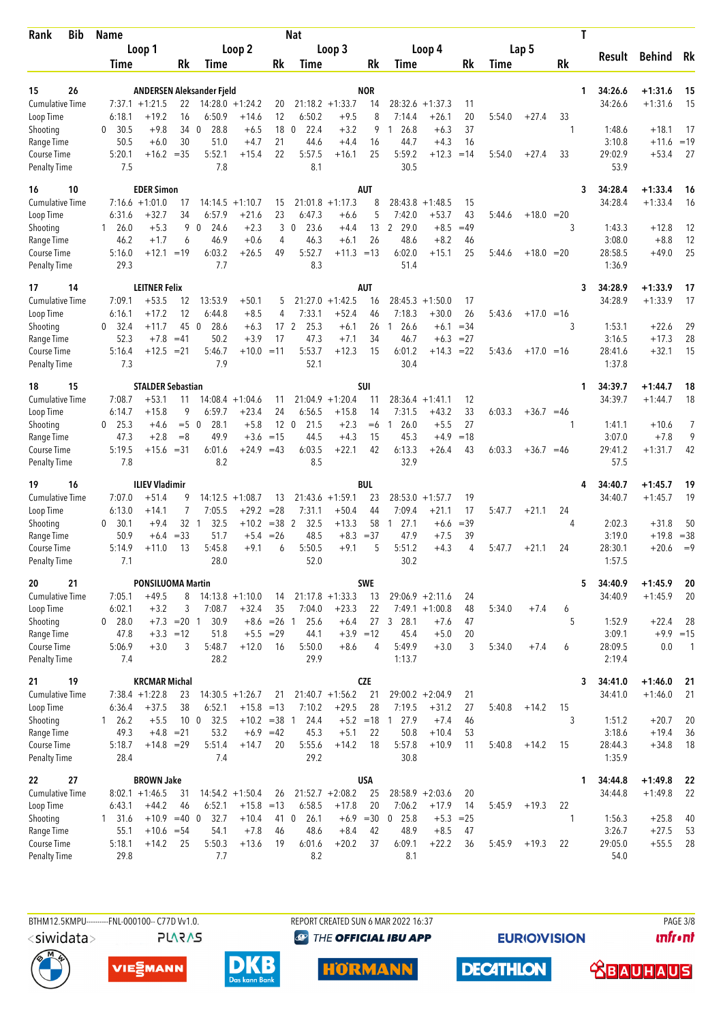| <b>Bib</b><br>Rank                 | <b>Name</b>      |                          |                    |                                  |                               |                 | <b>Nat</b>           |                       |                   |                                |                      |             |        |              |         | Т |                    |                        |                          |
|------------------------------------|------------------|--------------------------|--------------------|----------------------------------|-------------------------------|-----------------|----------------------|-----------------------|-------------------|--------------------------------|----------------------|-------------|--------|--------------|---------|---|--------------------|------------------------|--------------------------|
|                                    |                  | Loop 1                   |                    |                                  | Loop 2                        |                 |                      | Loop 3                |                   |                                | Loop 4               |             |        | Lap 5        |         |   | Result             | <b>Behind</b>          | Rk                       |
|                                    | Time             |                          | Rk                 | Time                             |                               | Rk              | Time                 |                       | Rk                | Time                           |                      | Rk          | Time   |              | Rk      |   |                    |                        |                          |
|                                    |                  |                          |                    |                                  |                               |                 |                      |                       |                   |                                |                      |             |        |              |         |   |                    |                        |                          |
| 26<br>15<br><b>Cumulative Time</b> |                  | $7:37.1 + 1:21.5$        | 22                 | <b>ANDERSEN Aleksander Fjeld</b> | $14:28.0 + 1:24.2$            | 20              |                      | $21:18.2 + 1:33.7$    | <b>NOR</b><br>14  | 28:32.6                        | $+1:37.3$            | 11          |        |              |         | 1 | 34:26.6<br>34:26.6 | $+1:31.6$<br>$+1:31.6$ | 15<br>15                 |
| Loop Time                          | 6:18.1           | $+19.2$                  | 16                 | 6:50.9                           | $+14.6$                       | 12              | 6:50.2               | $+9.5$                | 8                 | 7:14.4                         | $+26.1$              | 20          | 5:54.0 | $+27.4$      | 33      |   |                    |                        |                          |
| Shooting                           | 30.5<br>0        | $+9.8$                   |                    | 28.8<br>34 0                     | $+6.5$                        | 18              | $\mathbf{0}$<br>22.4 | $+3.2$                | 9                 | 26.8<br>1.                     | $+6.3$               | 37          |        |              | 1       |   | 1:48.6             | $+18.1$                | 17                       |
| Range Time                         | 50.5             | $+6.0$                   | 30                 | 51.0                             | $+4.7$                        | 21              | 44.6                 | $+4.4$                | 16                | 44.7                           | $+4.3$               | 16          |        |              |         |   | 3:10.8             | $+11.6$                | $=19$                    |
| Course Time                        | 5:20.1           |                          | $+16.2 = 35$       | 5:52.1                           | $+15.4$                       | 22              | 5:57.5               | $+16.1$               | 25                | 5:59.2                         | $+12.3$              | $=14$       | 5:54.0 | $+27.4$      | 33      |   | 29:02.9            | $+53.4$                | 27                       |
| <b>Penalty Time</b>                | 7.5              |                          |                    | 7.8                              |                               |                 | 8.1                  |                       |                   | 30.5                           |                      |             |        |              |         |   | 53.9               |                        |                          |
| 16<br>10                           |                  | <b>EDER Simon</b>        |                    |                                  |                               |                 |                      |                       | <b>AUT</b>        |                                |                      |             |        |              |         | 3 | 34:28.4            | $+1:33.4$              | -16                      |
| <b>Cumulative Time</b>             |                  | $7:16.6 + 1:01.0$        | 17                 | 14:14.5                          | $+1:10.7$                     | 15              |                      | $21:01.8 +1:17.3$     | 8                 | 28:43.8                        | $+1:48.5$            | 15          |        |              |         |   | 34:28.4            | $+1:33.4$              | 16                       |
| Loop Time                          | 6:31.6           | $+32.7$                  | 34                 | 6:57.9                           | $+21.6$                       | 23              | 6:47.3               | $+6.6$                | 5                 | 7:42.0                         | $+53.7$              | 43          | 5:44.6 | $+18.0 = 20$ |         |   |                    |                        |                          |
| Shooting                           | $1\quad 26.0$    | $+5.3$                   | 9<br>6             | $\mathbf 0$<br>24.6              | $+2.3$<br>$+0.6$              | 3<br>4          | 23.6<br>$\mathbf 0$  | $+4.4$<br>$+6.1$      | 13<br>26          | 29.0<br>$\overline{2}$         | $+8.5$               | $=49$<br>46 |        |              | 3       |   | 1:43.3             | $+12.8$                | 12                       |
| Range Time<br>Course Time          | 46.2<br>5:16.0   | $+1.7$<br>$+12.1$        | $=19$              | 46.9<br>6:03.2                   | $+26.5$                       | 49              | 46.3<br>5:52.7       | $+11.3 = 13$          |                   | 48.6<br>6:02.0                 | $+8.2$<br>$+15.1$    | 25          | 5:44.6 | $+18.0 = 20$ |         |   | 3:08.0<br>28:58.5  | $+8.8$<br>$+49.0$      | 12<br>25                 |
| <b>Penalty Time</b>                | 29.3             |                          |                    | 7.7                              |                               |                 | 8.3                  |                       |                   | 51.4                           |                      |             |        |              |         |   | 1:36.9             |                        |                          |
| 14<br>17                           |                  | <b>LEITNER Felix</b>     |                    |                                  |                               |                 |                      |                       | <b>AUT</b>        |                                |                      |             |        |              |         | 3 | 34:28.9            | $+1:33.9$              | 17                       |
| <b>Cumulative Time</b>             | 7:09.1           | $+53.5$                  | 12                 | 13:53.9                          | $+50.1$                       | 5               | 21:27.0              | $+1:42.5$             | 16                | 28:45.3                        | $+1:50.0$            | 17          |        |              |         |   | 34:28.9            | $+1:33.9$              | 17                       |
| Loop Time                          | 6:16.1           | $+17.2$                  | 12                 | 6:44.8                           | $+8.5$                        | 4               | 7:33.1               | $+52.4$               | 46                | 7:18.3                         | $+30.0$              | 26          | 5:43.6 | $+17.0 = 16$ |         |   |                    |                        |                          |
| Shooting                           | 0, 32.4          | $+11.7$                  | 45                 | 28.6<br>$\mathbf 0$              | $+6.3$                        | 17 <sub>2</sub> | 25.3                 | $+6.1$                | 26                | 26.6<br>$\mathbf{1}$           | $+6.1$               | $=34$       |        |              | 3       |   | 1:53.1             | $+22.6$                | 29                       |
| Range Time                         | 52.3             | $+7.8$                   | $=41$              | 50.2                             | $+3.9$                        | 17              | 47.3                 | $+7.1$                | 34                | 46.7                           | $+6.3$               | $=27$       |        |              |         |   | 3:16.5             | $+17.3$                | 28                       |
| Course Time<br><b>Penalty Time</b> | 5:16.4<br>7.3    | $+12.5$                  | $= 21$             | 5:46.7<br>7.9                    | $+10.0 = 11$                  |                 | 5:53.7<br>52.1       | $+12.3$               | 15                | 6:01.2<br>30.4                 | $+14.3$              | $= 22$      | 5:43.6 | $+17.0 = 16$ |         |   | 28:41.6<br>1:37.8  | $+32.1$                | 15                       |
|                                    |                  |                          |                    |                                  |                               |                 |                      |                       |                   |                                |                      |             |        |              |         |   |                    |                        |                          |
| 15<br>18                           |                  | <b>STALDER Sebastian</b> |                    |                                  |                               |                 |                      |                       | SUI               |                                |                      |             |        |              |         | 1 | 34:39.7            | $+1:44.7$              | 18                       |
| <b>Cumulative Time</b>             | 7:08.7<br>6:14.7 | $+53.1$<br>$+15.8$       | 11<br>9            | 6:59.7                           | $14:08.4 +1:04.6$<br>$+23.4$  | 11<br>24        | 21:04.9<br>6:56.5    | $+1:20.4$<br>$+15.8$  | 11<br>14          | 28:36.4<br>7:31.5              | $+1:41.1$<br>$+43.2$ | 12<br>33    | 6:03.3 | $+36.7 = 46$ |         |   | 34:39.7            | $+1:44.7$              | 18                       |
| Loop Time<br>Shooting              | $0$ 25.3         | $+4.6$                   | $= 5 \ 0$          | 28.1                             | $+5.8$                        | 12 <sub>0</sub> | 21.5                 | $+2.3$                | $=6$              | 26.0<br>1                      | $+5.5$               | 27          |        |              | 1       |   | 1:41.1             | $+10.6$                | 7                        |
| Range Time                         | 47.3             | $+2.8$                   | $=8$               | 49.9                             | $+3.6$                        | $=15$           | 44.5                 | $+4.3$                | 15                | 45.3                           | $+4.9$               | $=18$       |        |              |         |   | 3:07.0             | $+7.8$                 | 9                        |
| Course Time                        | 5:19.5           | $+15.6$                  | $= 31$             | 6:01.6                           | $+24.9$                       | $=43$           | 6:03.5               | $+22.1$               | 42                | 6:13.3                         | $+26.4$              | 43          | 6:03.3 | $+36.7$      | $=46$   |   | 29:41.2            | $+1:31.7$              | 42                       |
| <b>Penalty Time</b>                | 7.8              |                          |                    | 8.2                              |                               |                 | 8.5                  |                       |                   | 32.9                           |                      |             |        |              |         |   | 57.5               |                        |                          |
| 16<br>19                           |                  | <b>ILIEV Vladimir</b>    |                    |                                  |                               |                 |                      |                       | <b>BUL</b>        |                                |                      |             |        |              |         |   | 34:40.7            | $+1:45.7$              | 19                       |
| <b>Cumulative Time</b>             | 7:07.0           | $+51.4$                  |                    |                                  | $14:12.5 + 1:08.7$            | 13              |                      | $21:43.6 +1:59.1$     | 23                | 28:53.0                        | $+1:57.7$            | 19          |        |              |         |   | 34:40.7            | $+1:45.7$              | 19                       |
| Loop Time                          | 6:13.0           | $+14.1$                  | 7                  | 7:05.5                           | $+29.2$                       | $= 28$          | 7:31.1               | $+50.4$               | 44                | 7:09.4                         | $+21.1$              | 17          | 5:47.7 | $+21.1$      | 24      |   |                    |                        |                          |
| Shooting                           | 0<br>30.1        | $+9.4$                   | 32 1               | 32.5                             | $+10.2$                       | $=38$ 2         | 32.5                 | $+13.3$               | 58                | 27.1<br>$\overline{1}$         | $+6.6$               | $=39$       |        |              | 4       |   | 2:02.3             | $+31.8$                | 50                       |
| Range Time<br>Course Time          | 50.9<br>5:14.9   | $+6.4$<br>+11.0          | $= 33$<br>13       | 51.7<br>5:45.8                   | $+5.4$<br>$+9.1$              | $=26$<br>6      | 48.5<br>5:50.5       | $+8.3 = 37$<br>$+9.1$ | 5                 | 47.9<br>5:51.2                 | $+7.5$<br>$+4.3$     | 39<br>4     | 5:47.7 | $+21.1$      | 24      |   | 3:19.0<br>28:30.1  | $+19.8$<br>$+20.6$     | $= 38$<br>$=9$           |
| <b>Penalty Time</b>                | 7.1              |                          |                    | 28.0                             |                               |                 | 52.0                 |                       |                   | 30.2                           |                      |             |        |              |         |   | 1:57.5             |                        |                          |
| 21<br>20                           |                  | <b>PONSILUOMA Martin</b> |                    |                                  |                               |                 |                      |                       | SWE               |                                |                      |             |        |              |         | 5 | 34:40.9            | $+1:45.9$              | 20                       |
| Cumulative Time                    | 7:05.1           | $+49.5$                  | 8                  |                                  | $14:13.8 + 1:10.0$            | 14              |                      | $21:17.8 + 1:33.3$    | 13                |                                | $29:06.9 + 2:11.6$   | 24          |        |              |         |   | 34:40.9            | $+1:45.9$              | 20                       |
| Loop Time                          | 6:02.1           | $+3.2$                   | 3                  | 7:08.7                           | $+32.4$                       | 35              | 7:04.0               | $+23.3$               | 22                |                                | $7:49.1 +1:00.8$     | 48          | 5:34.0 | $+7.4$       | 6       |   |                    |                        |                          |
| Shooting                           | 0 28.0           |                          | $+7.3 = 20$ 1      | 30.9                             |                               | $+8.6$ = 26 1   | 25.6                 | $+6.4$                |                   | 27 3 28.1                      | $+7.6$               | 47          |        |              | 5       |   | 1:52.9             | $+22.4$                | -28                      |
| Range Time                         | 47.8             |                          | $+3.3 = 12$        | 51.8                             |                               | $+5.5 = 29$     | 44.1                 | $+3.9 = 12$           |                   | 45.4                           | $+5.0$               | 20          |        |              |         |   | 3:09.1             | $+9.9 = 15$            |                          |
| Course Time                        | 5:06.9           | $+3.0$                   | 3                  | 5:48.7                           | $+12.0$                       | 16              | 5:50.0               | $+8.6$                | 4                 | 5:49.9                         | $+3.0$               | 3           | 5:34.0 | $+7.4$       | 6       |   | 28:09.5            | 0.0                    | $\overline{\phantom{0}}$ |
| <b>Penalty Time</b>                | 7.4              |                          |                    | 28.2                             |                               |                 | 29.9                 |                       |                   | 1:13.7                         |                      |             |        |              |         |   | 2:19.4             |                        |                          |
| 19<br>21                           |                  | <b>KRCMAR Michal</b>     |                    |                                  |                               |                 |                      |                       | <b>CZE</b>        |                                |                      |             |        |              |         | 3 | 34:41.0            | $+1:46.0$              | 21                       |
| <b>Cumulative Time</b>             |                  | $7:38.4 +1:22.8$         | 23                 |                                  | $14:30.5 +1:26.7$             | 21              |                      | $21:40.7 +1:56.2$     | 21                |                                | $29:00.2 + 2:04.9$   | 21          |        |              |         |   | 34:41.0            | $+1:46.0$              | 21                       |
| Loop Time                          | 6:36.4           | $+37.5$                  | 38                 | 6:52.1                           | $+15.8$ =13<br>$+10.2 = 38$ 1 |                 | 7:10.2               | $+29.5$               | 28                | 7:19.5                         | $+31.2$              | 27          | 5:40.8 | $+14.2$      | 15<br>3 |   |                    |                        |                          |
| Shooting<br>Range Time             | 126.2<br>49.3    | $+5.5$                   | $+4.8$ = 21        | 10 <sub>0</sub><br>32.5<br>53.2  |                               | $+6.9 = 42$     | 24.4<br>45.3         | $+5.1$                | $+5.2 = 18$<br>22 | 27.9<br>$\overline{1}$<br>50.8 | $+7.4$<br>$+10.4$    | 46<br>53    |        |              |         |   | 1:51.2<br>3:18.6   | $+20.7$<br>$+19.4$     | 20<br>36                 |
| Course Time                        | 5:18.7           |                          | $+14.8 = 29$       | 5:51.4                           | $+14.7$                       | 20              | 5:55.6               | $+14.2$               | 18                | 5:57.8                         | $+10.9$              | 11          | 5:40.8 | $+14.2$      | 15      |   | 28:44.3            | $+34.8$                | 18                       |
| <b>Penalty Time</b>                | 28.4             |                          |                    | 7.4                              |                               |                 | 29.2                 |                       |                   | 30.8                           |                      |             |        |              |         |   | 1:35.9             |                        |                          |
| 27<br>22                           |                  | <b>BROWN Jake</b>        |                    |                                  |                               |                 |                      |                       | <b>USA</b>        |                                |                      |             |        |              |         | 1 | 34:44.8            | $+1:49.8$              | -22                      |
| <b>Cumulative Time</b>             |                  | $8:02.1 + 1:46.5$        | 31                 |                                  | $14:54.2 + 1:50.4$            | 26              |                      | $21:52.7 + 2:08.2$    | 25                |                                | $28:58.9 + 2:03.6$   | 20          |        |              |         |   | 34:44.8            | $+1:49.8$              | 22                       |
| Loop Time                          | 6:43.1           | $+44.2$                  | 46                 | 6:52.1                           | $+15.8 = 13$                  |                 | 6:58.5               | $+17.8$               | 20                | 7:06.2                         | $+17.9$              | 14          | 5:45.9 | $+19.3$      | 22      |   |                    |                        |                          |
| Shooting                           | 131.6            |                          | $+10.9$ =40 0      | 32.7                             | $+10.4$                       | 41 0            | 26.1                 | $+6.9$                | $=30$             | $0$ 25.8                       | $+5.3$               | $=25$       |        |              | 1       |   | 1:56.3             | $+25.8$                | 40                       |
| Range Time<br>Course Time          | 55.1<br>5:18.1   | $+14.2$                  | $+10.6 = 54$<br>25 | 54.1<br>5:50.3                   | $+7.8$<br>$+13.6$             | 46<br>19        | 48.6<br>6:01.6       | $+8.4$<br>$+20.2$     | 42<br>37          | 48.9<br>6:09.1                 | $+8.5$<br>$+22.2$    | 47<br>36    | 5:45.9 | $+19.3$      | 22      |   | 3:26.7<br>29:05.0  | $+27.5$<br>$+55.5$     | 53<br>28                 |
| <b>Penalty Time</b>                | 29.8             |                          |                    | 7.7                              |                               |                 | 8.2                  |                       |                   | 8.1                            |                      |             |        |              |         |   | 54.0               |                        |                          |
|                                    |                  |                          |                    |                                  |                               |                 |                      |                       |                   |                                |                      |             |        |              |         |   |                    |                        |                          |

**PLARAS** 

BTHM12.5KMPU---------FNL-000100-- C77D Vv1.0. REPORT CREATED SUN 6 MAR 2022 16:37 RAGE 3/8 **<sup><sup>3</sup>** THE OFFICIAL IBU APP</sup>

**EURIOVISION** 

*<u><u>Infront</u>*</u>









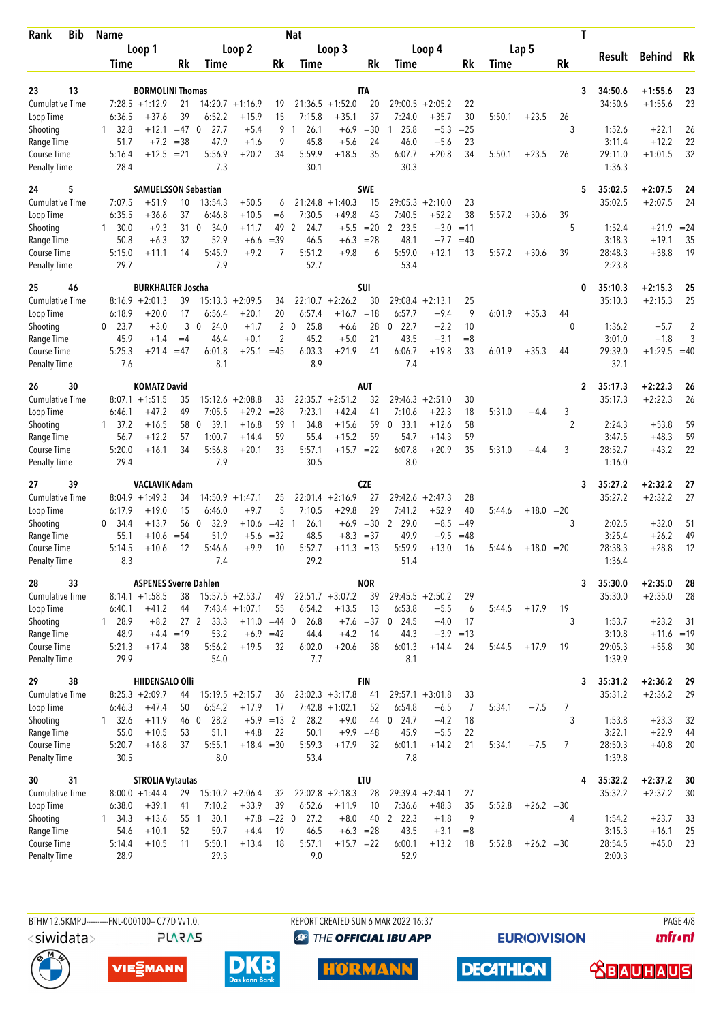| <b>Bib</b><br>Rank                        | Name              |                                             |          |                                 |                              |                | Nat                  |                              |                   |                      |                      |                   |        |              |                | Т                       |                         |          |
|-------------------------------------------|-------------------|---------------------------------------------|----------|---------------------------------|------------------------------|----------------|----------------------|------------------------------|-------------------|----------------------|----------------------|-------------------|--------|--------------|----------------|-------------------------|-------------------------|----------|
|                                           |                   | Loop 1                                      |          |                                 | Loop 2                       |                |                      | Loop 3                       |                   |                      | Loop 4               |                   |        | Lap 5        |                |                         | Behind                  |          |
|                                           | Time              |                                             | Rk       | Time                            |                              | Rk             | Time                 |                              | Rk                | Time                 |                      | Rk                | Time   |              | Rk             | Result                  |                         | Rk       |
|                                           |                   |                                             |          |                                 |                              |                |                      |                              |                   |                      |                      |                   |        |              |                |                         |                         |          |
| 13<br>23<br><b>Cumulative Time</b>        |                   | <b>BORMOLINI Thomas</b><br>$7:28.5 +1:12.9$ | 21       |                                 | $14:20.7 +1:16.9$            | 19             |                      | $21:36.5 + 1:52.0$           | <b>ITA</b><br>20  | 29:00.5              | $+2:05.2$            | 22                |        |              |                | 34:50.6<br>3<br>34:50.6 | $+1:55.6$<br>$+1:55.6$  | 23<br>23 |
| Loop Time                                 | 6:36.5            | $+37.6$                                     | 39       | 6:52.2                          | $+15.9$                      | 15             | 7:15.8               | $+35.1$                      | 37                | 7:24.0               | $+35.7$              | 30                | 5:50.1 | $+23.5$      | 26             |                         |                         |          |
| Shooting                                  | 1 32.8            | $+12.1$                                     | $=47$    | 27.7<br>- 0                     | $+5.4$                       | 9              | 26.1<br>$\mathbf{1}$ | $+6.9$                       | $= 30$            | 25.8<br>1            | $+5.3$               | $= 25$            |        |              | 3              | 1:52.6                  | $+22.1$                 | 26       |
| Range Time                                | 51.7              | $+7.2$                                      | $=38$    | 47.9                            | $+1.6$                       | 9              | 45.8                 | $+5.6$                       | 24                | 46.0                 | $+5.6$               | 23                |        |              |                | 3:11.4                  | $+12.2$                 | 22       |
| Course Time                               | 5:16.4            | $+12.5$                                     | $= 21$   | 5:56.9                          | $+20.2$                      | 34             | 5:59.9               | $+18.5$                      | 35                | 6:07.7               | $+20.8$              | 34                | 5:50.1 | $+23.5$      | 26             | 29:11.0                 | $+1:01.5$               | 32       |
| <b>Penalty Time</b>                       | 28.4              |                                             |          | 7.3                             |                              |                | 30.1                 |                              |                   | 30.3                 |                      |                   |        |              |                | 1:36.3                  |                         |          |
| 24<br>5                                   |                   | <b>SAMUELSSON Sebastian</b>                 |          |                                 |                              |                |                      |                              | <b>SWE</b>        |                      |                      |                   |        |              |                | 35:02.5<br>5            | $+2:07.5$               | 24       |
| <b>Cumulative Time</b>                    | 7:07.5            | $+51.9$                                     | 10       | 13:54.3                         | $+50.5$                      | 6              |                      | $21:24.8 + 1:40.3$           | 15                | 29:05.3              | $+2:10.0$            | 23                |        |              |                | 35:02.5                 | $+2:07.5$               | 24       |
| Loop Time<br>Shooting                     | 6:35.5<br>1, 30.0 | $+36.6$<br>$+9.3$                           | 37<br>31 | 6:46.8<br>$\mathbf 0$<br>34.0   | $+10.5$<br>$+11.7$           | $= 6$<br>49    | 7:30.5<br>2<br>24.7  | $+49.8$<br>$+5.5$            | 43<br>$=20$       | 7:40.5<br>2<br>23.5  | $+52.2$<br>$+3.0$    | 38<br>$=11$       | 5:57.2 | $+30.6$      | 39<br>5        | 1:52.4                  | $+21.9$                 | $= 24$   |
| Range Time                                | 50.8              | $+6.3$                                      | 32       | 52.9                            | $+6.6$                       | $=39$          | 46.5                 | $+6.3$                       | $= 28$            | 48.1                 | $+7.7$               | $=40$             |        |              |                | 3:18.3                  | $+19.1$                 | 35       |
| Course Time                               | 5:15.0            | $+11.1$                                     | 14       | 5:45.9                          | $+9.2$                       | 7              | 5:51.2               | $+9.8$                       | 6                 | 5:59.0               | $+12.1$              | 13                | 5:57.2 | $+30.6$      | 39             | 28:48.3                 | $+38.8$                 | 19       |
| <b>Penalty Time</b>                       | 29.7              |                                             |          | 7.9                             |                              |                | 52.7                 |                              |                   | 53.4                 |                      |                   |        |              |                | 2:23.8                  |                         |          |
| 25<br>46                                  |                   | <b>BURKHALTER Joscha</b>                    |          |                                 |                              |                |                      |                              | SUI               |                      |                      |                   |        |              |                | 35:10.3<br>0            | $+2:15.3$               | 25       |
| <b>Cumulative Time</b>                    |                   | $8:16.9 + 2:01.3$                           | 39       | 15:13.3                         | $+2:09.5$                    | 34             |                      | $22:10.7 + 2:26.2$           | 30                | 29:08.4              | $+2:13.1$            | 25                |        |              |                | 35:10.3                 | $+2:15.3$               | 25       |
| Loop Time                                 | 6:18.9            | $+20.0$                                     | 17       | 6:56.4                          | $+20.1$                      | 20             | 6:57.4               | $+16.7$                      | $=18$             | 6:57.7               | $+9.4$               | 9                 | 6:01.9 | $+35.3$      | 44             |                         |                         |          |
| Shooting                                  | $0$ 23.7          | $+3.0$                                      | 3        | $\overline{0}$<br>24.0          | $+1.7$                       | $\overline{2}$ | 25.8<br>$\mathbf 0$  | $+6.6$                       | 28                | 22.7<br>$\mathbf{0}$ | $+2.2$               | 10                |        |              | $\theta$       | 1:36.2                  | $+5.7$                  | 2        |
| Range Time                                | 45.9              | $+1.4$                                      | $=4$     | 46.4                            | $+0.1$                       | 2              | 45.2                 | $+5.0$                       | 21                | 43.5                 | $+3.1$               | $=8$              |        |              |                | 3:01.0                  | $+1.8$                  | 3        |
| Course Time<br><b>Penalty Time</b>        | 5:25.3<br>7.6     | $+21.4$                                     | $=47$    | 6:01.8<br>8.1                   | $+25.1$                      | $=45$          | 6:03.3<br>8.9        | $+21.9$                      | 41                | 6:06.7<br>7.4        | $+19.8$              | 33                | 6:01.9 | $+35.3$      | 44             | 29:39.0<br>32.1         | $+1:29.5 = 40$          |          |
| 26<br>30                                  |                   | <b>KOMATZ David</b>                         |          |                                 |                              |                |                      |                              | <b>AUT</b>        |                      |                      |                   |        |              |                | 35:17.3<br>2            | $+2:22.3$               | -26      |
| <b>Cumulative Time</b>                    | 8:07.1            | $+1:51.5$                                   | 35       |                                 | $15:12.6 + 2:08.8$           | 33             |                      | $22:35.7 + 2:51.2$           | 32                | 29:46.3              | $+2:51.0$            | 30                |        |              |                | 35:17.3                 | $+2:22.3$               | 26       |
| Loop Time                                 | 6:46.1            | $+47.2$                                     | 49       | 7:05.5                          | $+29.2$                      | $= 28$         | 7:23.1               | $+42.4$                      | 41                | 7:10.6               | $+22.3$              | 18                | 5:31.0 | $+4.4$       | 3              |                         |                         |          |
| Shooting                                  | 1 37.2            | $+16.5$                                     | 58       | 39.1<br>- 0                     | $+16.8$                      | 59             | 34.8<br>-1           | $+15.6$                      | 59                | 33.1<br>0            | $+12.6$              | 58                |        |              | 2              | 2:24.3                  | $+53.8$                 | 59       |
| Range Time                                | 56.7              | $+12.2$                                     | 57       | 1:00.7                          | $+14.4$                      | 59             | 55.4                 | $+15.2$                      | 59                | 54.7                 | $+14.3$              | 59                |        |              |                | 3:47.5                  | $+48.3$                 | 59       |
| <b>Course Time</b><br><b>Penalty Time</b> | 5:20.0<br>29.4    | $+16.1$                                     | 34       | 5:56.8<br>7.9                   | $+20.1$                      | 33             | 5:57.1<br>30.5       | $+15.7 = 22$                 |                   | 6:07.8<br>8.0        | $+20.9$              | 35                | 5:31.0 | $+4.4$       | 3              | 28:52.7<br>1:16.0       | $+43.2$                 | 22       |
|                                           |                   |                                             |          |                                 |                              |                |                      |                              |                   |                      |                      |                   |        |              |                |                         |                         |          |
| 39<br>27<br><b>Cumulative Time</b>        |                   | <b>VACLAVIK Adam</b>                        |          |                                 |                              |                |                      |                              | <b>CZE</b><br>27  | 29:42.6              |                      |                   |        |              |                | 35:27.2<br>3            | $+2:32.2$               | 27<br>27 |
| Loop Time                                 | 6:17.9            | $8:04.9 +1:49.3$<br>$+19.0$                 | 34<br>15 | 6:46.0                          | $14:50.9 + 1:47.1$<br>$+9.7$ | 25<br>5        | 7:10.5               | $22:01.4 +2:16.9$<br>$+29.8$ | 29                | 7:41.2               | $+2:47.3$<br>$+52.9$ | 28<br>40          | 5:44.6 | $+18.0 = 20$ |                | 35:27.2                 | $+2:32.2$               |          |
| Shooting                                  | 0, 34.4           | $+13.7$                                     | 56 0     | 32.9                            | $+10.6$                      | $=42$ 1        | 26.1                 |                              | $+6.9 = 30$       | 29.0<br>2            | $+8.5$               | $=49$             |        |              | 3              | 2:02.5                  | $+32.0$                 | 51       |
| Range Time                                | 55.1              | $+10.6$                                     | $= 54$   | 51.9                            | $+5.6$                       | $=32$          | 48.5                 | $+8.3$                       | $= 37$            | 49.9                 | $+9.5$               | $=48$             |        |              |                | 3:25.4                  | $+26.2$                 | 49       |
| Course Time                               | 5:14.5            | $+10.6$                                     | 12       | 5:46.6                          | $+9.9$                       | 10             | 5:52.7               | $+11.3 = 13$                 |                   | 5:59.9               | $+13.0$              | 16                | 5:44.6 | $+18.0$      | $=20$          | 28:38.3                 | $+28.8$                 | 12       |
| <b>Penalty Time</b>                       | 8.3               |                                             |          | 7.4                             |                              |                | 29.2                 |                              |                   | 51.4                 |                      |                   |        |              |                | 1:36.4                  |                         |          |
| 28<br>33                                  |                   | <b>ASPENES Sverre Dahlen</b>                |          |                                 |                              |                |                      |                              | <b>NOR</b>        |                      |                      |                   |        |              |                | 35:30.0<br>3            | $+2:35.0$               | 28       |
| <b>Cumulative Time</b>                    |                   | $8:14.1 + 1:58.5$                           | 38       |                                 | $15:57.5 + 2:53.7$           | 49             |                      | $22:51.7 +3:07.2$            | 39                |                      | $29:45.5 + 2:50.2$   | 29                |        |              |                | 35:30.0                 | $+2:35.0$               | 28       |
| Loop Time                                 | 6:40.1            | $+41.2$                                     | 44       |                                 | $7:43.4 +1:07.1$             | 55             | 6:54.2               | $+13.5$                      | 13                | 6:53.8               | $+5.5$               | 6                 | 5:44.5 | $+17.9$      | 19             |                         |                         |          |
| Shooting<br>Range Time                    | 1 28.9<br>48.9    | $+8.2$<br>$+4.4$                            | $=19$    | 27 <sub>2</sub><br>33.3<br>53.2 | $+11.0 = 44$ 0<br>$+6.9$     | $=42$          | 26.8<br>44.4         | $+4.2$                       | $+7.6 = 37$<br>14 | $0$ 24.5<br>44.3     | $+4.0$               | 17<br>$+3.9 = 13$ |        |              | 3              | 1:53.7<br>3:10.8        | $+23.2$<br>$+11.6 = 19$ | -31      |
| Course Time                               | 5:21.3            | $+17.4$                                     | 38       | 5:56.2                          | $+19.5$                      | 32             | 6:02.0               | $+20.6$                      | 38                | 6:01.3               | $+14.4$              | 24                | 5:44.5 | $+17.9$      | 19             | 29:05.3                 | $+55.8$                 | 30       |
| Penalty Time                              | 29.9              |                                             |          | 54.0                            |                              |                | 7.7                  |                              |                   | 8.1                  |                      |                   |        |              |                | 1:39.9                  |                         |          |
| 38<br>29                                  |                   | HIIDENSALO Olli                             |          |                                 |                              |                |                      |                              | <b>FIN</b>        |                      |                      |                   |        |              |                | 35:31.2<br>3            | $+2:36.2$               | 29       |
| <b>Cumulative Time</b>                    |                   | $8:25.3 +2:09.7$                            | 44       |                                 | $15:19.5 + 2:15.7$           | 36             |                      | $23:02.3 + 3:17.8$           | 41                |                      | $29:57.1 + 3:01.8$   | 33                |        |              |                | 35:31.2                 | $+2:36.2$               | 29       |
| Loop Time                                 | 6:46.3            | $+47.4$                                     | 50       | 6:54.2                          | $+17.9$                      | 17             |                      | $7:42.8$ +1:02.1             | 52                | 6:54.8               | $+6.5$               | 7                 | 5:34.1 | $+7.5$       | $\overline{7}$ |                         |                         |          |
| Shooting                                  | 132.6             | $+11.9$                                     | 46 0     | 28.2                            | $+5.9$                       | $=13$ 2        | 28.2                 | $+9.0$                       | 44                | $0$ 24.7             | $+4.2$               | 18                |        |              | 3              | 1:53.8                  | $+23.3$                 | 32       |
| Range Time<br>Course Time                 | 55.0<br>5:20.7    | $+10.5$<br>$+16.8$                          | 53<br>37 | 51.1<br>5:55.1                  | $+4.8$<br>$+18.4 = 30$       | 22             | 50.1<br>5:59.3       | $+9.9 = 48$<br>$+17.9$       | 32                | 45.9<br>6:01.1       | $+5.5$<br>$+14.2$    | 22<br>21          | 5:34.1 | $+7.5$       | 7              | 3:22.1                  | $+22.9$<br>$+40.8$      | 44<br>20 |
| Penalty Time                              | 30.5              |                                             |          | 8.0                             |                              |                | 53.4                 |                              |                   | 7.8                  |                      |                   |        |              |                | 28:50.3<br>1:39.8       |                         |          |
| 31<br>30                                  |                   | <b>STROLIA Vytautas</b>                     |          |                                 |                              |                |                      |                              | <b>LTU</b>        |                      |                      |                   |        |              |                | 35:32.2<br>4            | $+2:37.2$               | -30      |
| <b>Cumulative Time</b>                    |                   | $8:00.0 +1:44.4$                            | 29       |                                 | $15:10.2 + 2:06.4$           | 32             |                      | $22:02.8 + 2:18.3$           | 28                |                      | $29:39.4 +2:44.1$    | 27                |        |              |                | 35:32.2                 | $+2:37.2$               | 30       |
| Loop Time                                 | 6:38.0            | $+39.1$                                     | 41       | 7:10.2                          | $+33.9$                      | 39             | 6:52.6               | $+11.9$                      | 10                | 7:36.6               | $+48.3$              | 35                | 5:52.8 | $+26.2 = 30$ |                |                         |                         |          |
| Shooting                                  | $1 \quad 34.3$    | $+13.6$                                     |          | 30.1<br>55 1                    | $+7.8$                       | $= 22 \ 0$     | 27.2                 | $+8.0$                       | 40                | 2 22.3               | $+1.8$               | 9                 |        |              | 4              | 1:54.2                  | $+23.7$                 | 33       |
| Range Time                                | 54.6              | $+10.1$                                     | 52       | 50.7                            | $+4.4$                       | 19             | 46.5                 | $+6.3 = 28$                  |                   | 43.5                 | $+3.1$               | $=8$              |        |              |                | 3:15.3                  | $+16.1$                 | 25       |
| Course Time<br>Penalty Time               | 5:14.4<br>28.9    | $+10.5$                                     | 11       | 5:50.1<br>29.3                  | $+13.4$                      | 18             | 5:57.1<br>9.0        | $+15.7 = 22$                 |                   | 6:00.1<br>52.9       | $+13.2$              | 18                | 5:52.8 | $+26.2 = 30$ |                | 28:54.5<br>2:00.3       | $+45.0$                 | 23       |
|                                           |                   |                                             |          |                                 |                              |                |                      |                              |                   |                      |                      |                   |        |              |                |                         |                         |          |

BTHM12.5KMPU---------FNL-000100-- C77D Vv1.0. **PLARAS**  REPORT CREATED SUN 6 MAR 2022 16:37 **<sup><sup>3</sup>** THE OFFICIAL IBU APP</sup>

**EURIOVISION** 

**DECATHLON** 

PAGE 4/8 *<u><u>Infront</u>*</u>

 **<u>CBAUHAUS</u>** 







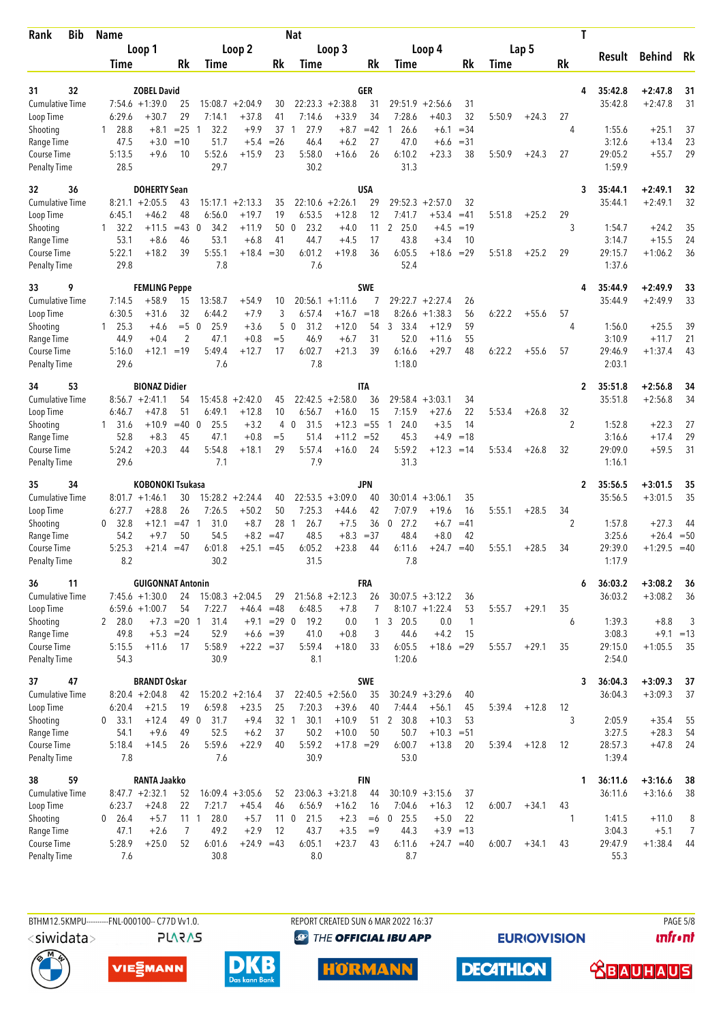| <b>Bib</b><br>Rank                  | <b>Name</b>      |                                             |                     |                             |                               |               | <b>Nat</b>              |                               |            |                      |                          |                    |        |         |         | Т                                  |                        |                      |
|-------------------------------------|------------------|---------------------------------------------|---------------------|-----------------------------|-------------------------------|---------------|-------------------------|-------------------------------|------------|----------------------|--------------------------|--------------------|--------|---------|---------|------------------------------------|------------------------|----------------------|
|                                     |                  | Loop 1                                      |                     |                             | Loop 2                        |               |                         | Loop 3                        |            |                      | Loop 4                   |                    |        | Lap 5   |         |                                    |                        |                      |
|                                     | Time             |                                             | Rk                  | Time                        |                               | Rk            | Time                    |                               | Rk         | Time                 |                          | Rk                 | Time   |         | Rk      | Result                             | <b>Behind</b>          | Rk                   |
|                                     |                  |                                             |                     |                             |                               |               |                         |                               |            |                      |                          |                    |        |         |         |                                    |                        |                      |
| 32<br>31                            |                  | <b>ZOBEL David</b>                          |                     |                             |                               |               |                         |                               | GER        |                      |                          |                    |        |         |         | 35:42.8<br>4                       | $+2:47.8$              | 31                   |
| <b>Cumulative Time</b><br>Loop Time | 6:29.6           | $7:54.6 +1:39.0$<br>$+30.7$                 | 25<br>29            | 7:14.1                      | $15:08.7 + 2:04.9$<br>$+37.8$ | 30<br>41      | 7:14.6                  | $22:23.3 + 2:38.8$<br>$+33.9$ | 31<br>34   | 29:51.9<br>7:28.6    | $+2:56.6$<br>$+40.3$     | 31<br>32           | 5:50.9 | $+24.3$ | 27      | 35:42.8                            | $+2:47.8$              | 31                   |
| Shooting                            | 28.8<br>1        | $+8.1$                                      | $= 25$              | 32.2<br>1                   | $+9.9$                        | 37            | 27.9<br>1               | $+8.7$                        | $=42$      | 26.6<br>1            | $+6.1$                   | $= 34$             |        |         | 4       | 1:55.6                             | $+25.1$                | 37                   |
| Range Time                          | 47.5             | $+3.0$                                      | $=10$               | 51.7                        | $+5.4$                        | $=26$         | 46.4                    | $+6.2$                        | 27         | 47.0                 | $+6.6$                   | $= 31$             |        |         |         | 3:12.6                             | $+13.4$                | 23                   |
| Course Time                         | 5:13.5           | $+9.6$                                      | 10                  | 5:52.6                      | $+15.9$                       | 23            | 5:58.0                  | $+16.6$                       | 26         | 6:10.2               | $+23.3$                  | 38                 | 5:50.9 | $+24.3$ | 27      | 29:05.2                            | $+55.7$                | 29                   |
| <b>Penalty Time</b>                 | 28.5             |                                             |                     | 29.7                        |                               |               | 30.2                    |                               |            | 31.3                 |                          |                    |        |         |         | 1:59.9                             |                        |                      |
| 32<br>36                            |                  | <b>DOHERTY Sean</b>                         |                     |                             |                               |               |                         |                               | <b>USA</b> |                      |                          |                    |        |         |         | 3<br>35:44.1                       | $+2:49.1$              | 32                   |
| <b>Cumulative Time</b>              |                  | $8:21.1 + 2:05.5$                           | 43                  |                             | $15:17.1 + 2:13.3$            | 35            |                         | $22:10.6 + 2:26.1$            | 29         | 29:52.3              | $+2:57.0$                | 32                 |        |         |         | 35:44.1                            | $+2:49.1$              | 32                   |
| Loop Time                           | 6:45.1           | $+46.2$                                     | 48                  | 6:56.0                      | $+19.7$                       | 19            | 6:53.5                  | $+12.8$                       | 12         | 7:41.7               | $+53.4$                  | $=41$              | 5:51.8 | $+25.2$ | 29      |                                    |                        |                      |
| Shooting                            | $1 \quad 32.2$   | +11.5                                       | $=43$               | $\overline{0}$<br>34.2      | $+11.9$                       | 50            | 23.2<br>$\mathbf{0}$    | $+4.0$                        | 11         | $\mathbf{2}$<br>25.0 | $+4.5$                   | $=19$              |        |         | 3       | 1:54.7                             | $+24.2$                | 35                   |
| Range Time<br>Course Time           | 53.1<br>5:22.1   | $+8.6$<br>$+18.2$                           | 46<br>39            | 53.1<br>5:55.1              | $+6.8$<br>$+18.4 = 30$        | 41            | 44.7<br>6:01.2          | $+4.5$<br>$+19.8$             | 17<br>36   | 43.8<br>6:05.5       | $+3.4$<br>$+18.6$        | 10<br>$=29$        | 5:51.8 | $+25.2$ | 29      | 3:14.7<br>29:15.7                  | $+15.5$<br>$+1:06.2$   | 24<br>36             |
| <b>Penalty Time</b>                 | 29.8             |                                             |                     | 7.8                         |                               |               | 7.6                     |                               |            | 52.4                 |                          |                    |        |         |         | 1:37.6                             |                        |                      |
| 9<br>33                             |                  | <b>FEMLING Peppe</b>                        |                     |                             |                               |               |                         |                               | <b>SWE</b> |                      |                          |                    |        |         |         | 35:44.9<br>4                       | $+2:49.9$              | 33                   |
| <b>Cumulative Time</b>              | 7:14.5           | $+58.9$                                     | 15                  | 13:58.7                     | $+54.9$                       | 10            |                         | $20:56.1 + 1:11.6$            | 7          | 29:22.7              | $+2:27.4$                | 26                 |        |         |         | 35:44.9                            | $+2:49.9$              | 33                   |
| Loop Time                           | 6:30.5           | $+31.6$                                     | 32                  | 6:44.2                      | $+7.9$                        | 3             | 6:57.4                  | $+16.7$                       | $=18$      | 8:26.6               | $+1:38.3$                | 56                 | 6:22.2 | $+55.6$ | 57      |                                    |                        |                      |
| Shooting                            | $1 \quad 25.3$   | $+4.6$                                      | $=5$ 0              | 25.9                        | $+3.6$                        | 5             | 31.2<br>$\mathbf 0$     | $+12.0$                       | 54         | 3<br>33.4            | $+12.9$                  | 59                 |        |         | 4       | 1:56.0                             | $+25.5$                | 39                   |
| Range Time                          | 44.9             | $+0.4$                                      | 2                   | 47.1                        | $+0.8$                        | $=$ 5         | 46.9                    | $+6.7$                        | 31         | 52.0                 | $+11.6$                  | 55                 |        |         |         | 3:10.9                             | $+11.7$                | 21                   |
| Course Time<br><b>Penalty Time</b>  | 5:16.0<br>29.6   | $+12.1$                                     | $=19$               | 5:49.4<br>7.6               | $+12.7$                       | 17            | 6:02.7<br>7.8           | $+21.3$                       | 39         | 6:16.6<br>1:18.0     | $+29.7$                  | 48                 | 6:22.2 | $+55.6$ | 57      | 29:46.9<br>2:03.1                  | $+1:37.4$              | 43                   |
| 53<br>34                            |                  | <b>BIONAZ Didier</b>                        |                     |                             |                               |               |                         |                               | <b>ITA</b> |                      |                          |                    |        |         |         | $\overline{2}$<br>35:51.8          | $+2:56.8$              | 34                   |
| <b>Cumulative Time</b>              |                  | $8:56.7 +2:41.1$                            | 54                  | 15:45.8                     | $+2:42.0$                     | 45            |                         | $22:42.5 + 2:58.0$            | 36         | 29:58.4              | $+3:03.1$                | 34                 |        |         |         | 35:51.8                            | $+2:56.8$              | 34                   |
| Loop Time                           | 6:46.7           | $+47.8$                                     | 51                  | 6:49.1                      | $+12.8$                       | 10            | 6:56.7                  | $+16.0$                       | 15         | 7:15.9               | $+27.6$                  | 22                 | 5:53.4 | $+26.8$ | 32      |                                    |                        |                      |
| Shooting                            | 131.6            | $+10.9$                                     | $=40$               | $\mathbf 0$<br>25.5         | $+3.2$                        | 4             | 31.5<br>0               | $+12.3$                       | $= 55$     | 24.0<br>-1           | $+3.5$                   | 14                 |        |         | 2       | 1:52.8                             | $+22.3$                | 27                   |
| Range Time                          | 52.8             | $+8.3$                                      | 45                  | 47.1                        | $+0.8$                        | $=$ 5         | 51.4                    | $+11.2$                       | $= 52$     | 45.3                 | $+4.9$                   | $=18$              |        |         |         | 3:16.6                             | $+17.4$                | 29                   |
| Course Time<br><b>Penalty Time</b>  | 5:24.2<br>29.6   | $+20.3$                                     | 44                  | 5:54.8<br>7.1               | $+18.1$                       | 29            | 5:57.4<br>7.9           | $+16.0$                       | 24         | 5:59.2<br>31.3       | $+12.3$                  | $=14$              | 5:53.4 | $+26.8$ | 32      | 29:09.0<br>1:16.1                  | $+59.5$                | 31                   |
|                                     |                  |                                             |                     |                             |                               |               |                         |                               |            |                      |                          |                    |        |         |         |                                    |                        |                      |
| 35<br>34<br><b>Cumulative Time</b>  |                  | <b>KOBONOKI Tsukasa</b><br>$8:01.7 +1:46.1$ | 30                  |                             | $15:28.2 + 2:24.4$            | 40            |                         | $22:53.5 + 3:09.0$            | JPN<br>40  | 30:01.4              | $+3:06.1$                | 35                 |        |         |         | 35:56.5<br>$\mathbf{2}$<br>35:56.5 | $+3:01.5$<br>$+3:01.5$ | 35<br>35             |
| Loop Time                           | 6:27.7           | $+28.8$                                     | 26                  | 7:26.5                      | $+50.2$                       | 50            | 7:25.3                  | $+44.6$                       | 42         | 7:07.9               | $+19.6$                  | 16                 | 5:55.1 | $+28.5$ | 34      |                                    |                        |                      |
| Shooting                            | 32.8<br>0        | $+12.1$                                     | $=47$ 1             | 31.0                        | $+8.7$                        | 28            | 26.7<br>$\overline{1}$  | $+7.5$                        | 36         | 27.2<br>0            | $+6.7$                   | $=41$              |        |         | 2       | 1:57.8                             | $+27.3$                | 44                   |
| Range Time                          | 54.2             | $+9.7$                                      | 50                  | 54.5                        | $+8.2$                        | $=47$         | 48.5                    | $+8.3$                        | $= 37$     | 48.4                 | $+8.0$                   | 42                 |        |         |         | 3:25.6                             | $+26.4 = 50$           |                      |
| Course Time                         | 5:25.3           | $+21.4$                                     | $=47$               | 6:01.8                      | $+25.1$                       | $=45$         | 6:05.2                  | $+23.8$                       | 44         | 6:11.6               | +24.7                    | $=40$              | 5:55.1 | $+28.5$ | 34      | 29:39.0                            | $+1:29.5$              | $=40$                |
| <b>Penalty Time</b>                 | 8.2              |                                             |                     | 30.2                        |                               |               | 31.5                    |                               |            | 7.8                  |                          |                    |        |         |         | 1:17.9                             |                        |                      |
| 11<br>36                            |                  | <b>GUIGONNAT Antonin</b>                    |                     |                             |                               |               |                         |                               | FRA        |                      |                          |                    |        |         |         | 36:03.2<br>6                       | $+3:08.2$              | 36                   |
| Cumulative Time                     |                  | $7:45.6 + 1:30.0$                           | 24                  |                             | $15:08.3 + 2:04.5$            | 29            |                         | $21:56.8 + 2:12.3$            | 26         |                      | $30:07.5 + 3:12.2$       | 36                 |        |         |         | 36:03.2                            | $+3:08.2$              | 36                   |
| Loop Time<br>Shooting               | 2 28.0           | $6:59.6 +1:00.7$                            | 54<br>$+7.3 = 20$ 1 | 7:22.7<br>31.4              | $+46.4 = 48$                  | $+9.1$ = 29 0 | 6:48.5<br>19.2          | $+7.8$<br>0.0                 | 7<br>1     | 3 20.5               | $8:10.7 + 1:22.4$<br>0.0 | 53<br>$\mathbf{1}$ | 5:55.7 | $+29.1$ | 35<br>6 | 1:39.3                             | $+8.8$                 | 3                    |
| Range Time                          | 49.8             | $+5.3 = 24$                                 |                     | 52.9                        |                               | $+6.6 = 39$   | 41.0                    | $+0.8$                        | 3          | 44.6                 | $+4.2$                   | 15                 |        |         |         | 3:08.3                             | $+9.1 = 13$            |                      |
| Course Time                         | 5:15.5           | $+11.6$                                     | 17                  | 5:58.9                      | $+22.2 = 37$                  |               | 5:59.4                  | $+18.0$                       | 33         | 6:05.5               | $+18.6 = 29$             |                    | 5:55.7 | $+29.1$ | 35      | 29:15.0                            | $+1:05.5$              | 35                   |
| <b>Penalty Time</b>                 | 54.3             |                                             |                     | 30.9                        |                               |               | 8.1                     |                               |            | 1:20.6               |                          |                    |        |         |         | 2:54.0                             |                        |                      |
| 47<br>37                            |                  | <b>BRANDT Oskar</b>                         |                     |                             |                               |               |                         |                               | SWE        |                      |                          |                    |        |         |         | 36:04.3<br>3                       | $+3:09.3$              | 37                   |
| <b>Cumulative Time</b>              |                  | $8:20.4 +2:04.8$                            | 42                  |                             | $15:20.2 +2:16.4$             | 37            |                         | $22:40.5 + 2:56.0$            | 35         |                      | $30:24.9 + 3:29.6$       | 40                 |        |         |         | 36:04.3                            | $+3:09.3$              | 37                   |
| Loop Time                           | 6:20.4           | $+21.5$                                     | 19                  | 6:59.8                      | $+23.5$                       | 25            | 7:20.3                  | $+39.6$                       | 40         | 7:44.4               | $+56.1$                  | 45                 | 5:39.4 | $+12.8$ | 12      |                                    |                        |                      |
| Shooting<br>Range Time              | $0$ 33.1<br>54.1 | $+12.4$<br>$+9.6$                           | 49                  | $\mathbf 0$<br>31.7<br>52.5 | $+9.4$                        | 32 1<br>37    | 30.1<br>50.2            | $+10.9$                       | 51         | 2 30.8<br>50.7       | $+10.3$<br>$+10.3 = 51$  | 53                 |        |         | 3       | 2:05.9<br>3:27.5                   | $+35.4$<br>$+28.3$     | 55                   |
| Course Time                         | 5:18.4           | $+14.5$                                     | 49<br>26            | 5:59.6                      | $+6.2$<br>$+22.9$             | 40            | 5:59.2                  | $+10.0$<br>$+17.8$ = 29       | 50         | 6:00.7               | $+13.8$                  | 20                 | 5:39.4 | $+12.8$ | 12      | 28:57.3                            | $+47.8$                | 54<br>24             |
| <b>Penalty Time</b>                 | 7.8              |                                             |                     | 7.6                         |                               |               | 30.9                    |                               |            | 53.0                 |                          |                    |        |         |         | 1:39.4                             |                        |                      |
| 59<br>38                            |                  | <b>RANTA Jaakko</b>                         |                     |                             |                               |               |                         |                               | <b>FIN</b> |                      |                          |                    |        |         |         | 36:11.6<br>1                       | $+3:16.6$              | 38                   |
| <b>Cumulative Time</b>              |                  | $8:47.7 +2:32.1$                            | 52                  |                             | $16:09.4 + 3:05.6$            | 52            |                         | $23:06.3 + 3:21.8$            | 44         |                      | $30:10.9 + 3:15.6$       | 37                 |        |         |         | 36:11.6                            | $+3:16.6$              | 38                   |
| Loop Time                           | 6:23.7           | $+24.8$                                     | 22                  | 7:21.7                      | $+45.4$                       | 46            | 6:56.9                  | $+16.2$                       | 16         | 7:04.6               | $+16.3$                  | 12                 | 6:00.7 | $+34.1$ | 43      |                                    |                        |                      |
| Shooting                            | $0\quad 26.4$    | $+5.7$                                      |                     | 28.0<br>$11 \quad 1$        | $+5.7$                        |               | 21.5<br>11 <sub>0</sub> | $+2.3$                        | $=6$       | $0$ 25.5             | $+5.0$                   | 22                 |        |         | 1       | 1:41.5                             | $+11.0$                | 8                    |
| Range Time<br>Course Time           | 47.1<br>5:28.9   | $+2.6$<br>$+25.0$                           | 7<br>52             | 49.2<br>6:01.6              | $+2.9$<br>$+24.9 = 43$        | 12            | 43.7<br>6:05.1          | $+3.5$<br>$+23.7$             | $=9$<br>43 | 44.3<br>6:11.6       | $+24.7 = 40$             | $+3.9 = 13$        | 6:00.7 | $+34.1$ | 43      | 3:04.3<br>29:47.9                  | $+5.1$<br>$+1:38.4$    | $\overline{7}$<br>44 |
| <b>Penalty Time</b>                 | 7.6              |                                             |                     | 30.8                        |                               |               | 8.0                     |                               |            | 8.7                  |                          |                    |        |         |         | 55.3                               |                        |                      |
|                                     |                  |                                             |                     |                             |                               |               |                         |                               |            |                      |                          |                    |        |         |         |                                    |                        |                      |



BTHM12.5KMPU---------FNL-000100-- C77D Vv1.0. **PLARAS**  REPORT CREATED SUN 6 MAR 2022 16:37 **<sup><sup>3</sup>** THE OFFICIAL IBU APP</sup>

**HÖRMANN** 

**EURIOVISION** 

**PAGE 5/8** *<u><u>Infront</u>*</u>









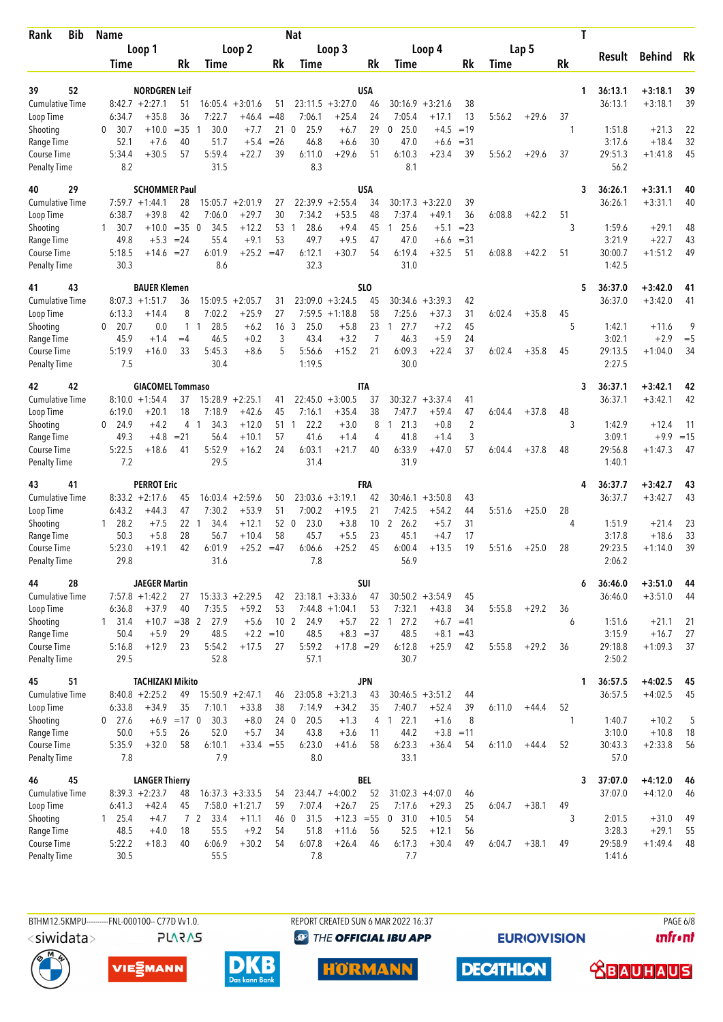| <b>Bib</b><br>Rank                  | <b>Name</b>        |                                           |                 |                                |                                         |             | <b>Nat</b>              |                                        |                       |                                  |                               |                     |        |         | T       |                    |                        |              |
|-------------------------------------|--------------------|-------------------------------------------|-----------------|--------------------------------|-----------------------------------------|-------------|-------------------------|----------------------------------------|-----------------------|----------------------------------|-------------------------------|---------------------|--------|---------|---------|--------------------|------------------------|--------------|
|                                     |                    | Loop 1                                    |                 |                                | Loop 2                                  |             |                         | Loop 3                                 |                       |                                  | Loop 4                        |                     |        | Lap 5   |         |                    |                        |              |
|                                     | Time               |                                           | Rk              | Time                           |                                         | Rk          | Time                    |                                        | Rk                    | Time                             |                               | Rk                  | Time   |         | Rk      | Result             | <b>Behind</b>          | Rk           |
|                                     |                    |                                           |                 |                                |                                         |             |                         |                                        |                       |                                  |                               |                     |        |         |         |                    |                        |              |
| 52<br>39<br>Cumulative Time         |                    | <b>NORDGREN Leif</b><br>$8:42.7 + 2:27.1$ | 51              |                                | $16:05.4 + 3:01.6$                      | 51          |                         | $23:11.5 + 3:27.0$                     | USA<br>46             |                                  | $30:16.9 + 3:21.6$            | 38                  |        |         | 1       | 36:13.1<br>36:13.1 | $+3:18.1$<br>$+3:18.1$ | 39<br>39     |
| Loop Time                           | 6:34.7             | $+35.8$                                   | 36              | 7:22.7                         | +46.4                                   | $=48$       | 7:06.1                  | $+25.4$                                | 24                    | 7:05.4                           | $+17.1$                       | 13                  | 5:56.2 | $+29.6$ | 37      |                    |                        |              |
| Shooting                            | 0<br>30.7          | $+10.0$                                   | $= 35$          | 30.0<br>-1                     | $+7.7$                                  | 21          | 25.9<br>$\mathbf 0$     | $+6.7$                                 | 29                    | 25.0<br>0                        | $+4.5$                        | $=19$               |        |         | 1       | 1:51.8             | $+21.3$                | 22           |
| Range Time                          | 52.1               | $+7.6$                                    | 40              | 51.7                           | $+5.4$                                  | $=26$       | 46.8                    | $+6.6$                                 | 30                    | 47.0                             | $+6.6$                        | $= 31$              |        |         |         | 3:17.6             | $+18.4$                | 32           |
| Course Time<br><b>Penalty Time</b>  | 5:34.4<br>8.2      | $+30.5$                                   | 57              | 5:59.4<br>31.5                 | $+22.7$                                 | 39          | 6:11.0<br>8.3           | $+29.6$                                | 51                    | 6:10.3<br>8.1                    | $+23.4$                       | 39                  | 5:56.2 | $+29.6$ | 37      | 29:51.3<br>56.2    | $+1:41.8$              | 45           |
| 29<br>40                            |                    | <b>SCHOMMER Paul</b>                      |                 |                                |                                         |             |                         |                                        | USA                   |                                  |                               |                     |        |         | 3       | 36:26.1            | $+3:31.1$              | 40           |
| <b>Cumulative Time</b>              |                    | $7:59.7 +1:44.1$                          | 28              | 15:05.7                        | $+2:01.9$                               | 27          | 22:39.9                 | $+2:55.4$                              | 34                    | 30:17.3                          | $+3:22.0$                     | 39                  |        |         |         | 36:26.1            | $+3:31.1$              | 40           |
| Loop Time                           | 6:38.7             | $+39.8$                                   | 42              | 7:06.0                         | $+29.7$                                 | 30          | 7:34.2                  | $+53.5$                                | 48                    | 7:37.4                           | $+49.1$                       | 36                  | 6:08.8 | $+42.2$ | 51      |                    |                        |              |
| Shooting<br>Range Time              | 30.7<br>1.<br>49.8 | $+10.0$<br>$+5.3$                         | $=35$<br>$= 24$ | $\overline{0}$<br>34.5<br>55.4 | $+12.2$<br>$+9.1$                       | 53<br>53    | 28.6<br>1<br>49.7       | $+9.4$<br>$+9.5$                       | 45<br>47              | 25.6<br>47.0                     | $+5.1$<br>$+6.6$              | $= 23$<br>$= 31$    |        |         | 3       | 1:59.6<br>3:21.9   | $+29.1$<br>$+22.7$     | 48<br>43     |
| Course Time                         | 5:18.5             | $+14.6$                                   | $=27$           | 6:01.9                         | $+25.2 = 47$                            |             | 6:12.1                  | $+30.7$                                | 54                    | 6:19.4                           | $+32.5$                       | 51                  | 6:08.8 | $+42.2$ | 51      | 30:00.7            | $+1:51.2$              | 49           |
| <b>Penalty Time</b>                 | 30.3               |                                           |                 | 8.6                            |                                         |             | 32.3                    |                                        |                       | 31.0                             |                               |                     |        |         |         | 1:42.5             |                        |              |
| 43<br>41<br>Cumulative Time         | 8:07.3             | <b>BAUER Klemen</b><br>$+1:51.7$          | 36              | 15:09.5                        | $+2:05.7$                               | 31          | 23:09.0                 | $+3:24.5$                              | SL <sub>0</sub><br>45 | 30:34.6                          | $+3:39.3$                     | 42                  |        |         | 5       | 36:37.0<br>36:37.0 | $+3:42.0$<br>$+3:42.0$ | 41<br>41     |
| Loop Time                           | 6:13.3             | $+14.4$                                   | 8               | 7:02.2                         | $+25.9$                                 | 27          | 7:59.5                  | $+1:18.8$                              | 58                    | 7:25.6                           | $+37.3$                       | 31                  | 6:02.4 | $+35.8$ | 45      |                    |                        |              |
| Shooting                            | 20.7<br>0          | 0.0                                       | $\mathbf{1}$    | 28.5<br>$\mathbf{1}$           | $+6.2$                                  | 16          | 3<br>25.0               | $+5.8$                                 | 23                    | 27.7<br>1                        | $+7.2$                        | 45                  |        |         | 5       | 1:42.1             | $+11.6$                | 9            |
| Range Time                          | 45.9               | $+1.4$                                    | $=4$            | 46.5                           | $+0.2$                                  | 3           | 43.4                    | $+3.2$                                 | 7                     | 46.3                             | $+5.9$                        | 24                  |        |         |         | 3:02.1             | $+2.9$                 | $=$ 5        |
| Course Time<br><b>Penalty Time</b>  | 5:19.9<br>7.5      | $+16.0$                                   | 33              | 5:45.3<br>30.4                 | $+8.6$                                  | 5           | 5:56.6<br>1:19.5        | $+15.2$                                | 21                    | 6:09.3<br>30.0                   | $+22.4$                       | 37                  | 6:02.4 | $+35.8$ | 45      | 29:13.5<br>2:27.5  | $+1:04.0$              | 34           |
| 42<br>42                            |                    | <b>GIACOMEL Tommaso</b>                   |                 |                                |                                         |             |                         |                                        | <b>ITA</b>            |                                  |                               |                     |        |         | 3       | 36:37.1            | +3:42.1                | 42           |
| <b>Cumulative Time</b>              |                    | $8:10.0 + 1:54.4$                         | 37              |                                | $15:28.9 + 2:25.1$                      | 41          |                         | $22:45.0 + 3:00.5$                     | 37                    | 30:32.7                          | $+3:37.4$                     | 41                  |        |         |         | 36:37.1            | $+3:42.1$              | 42           |
| Loop Time                           | 6:19.0             | $+20.1$                                   | 18              | 7:18.9                         | $+42.6$                                 | 45          | 7:16.1                  | $+35.4$                                | 38                    | 7:47.7                           | +59.4                         | 47                  | 6:04.4 | $+37.8$ | 48      |                    |                        |              |
| Shooting<br>Range Time              | $0$ 24.9<br>49.3   | $+4.2$<br>$+4.8$                          | 4<br>$= 21$     | 34.3<br>- 1<br>56.4            | $+12.0$<br>$+10.1$                      | 51<br>57    | 22.2<br>-1<br>41.6      | $+3.0$<br>$+1.4$                       | 8<br>4                | 121.3<br>41.8                    | $+0.8$<br>$+1.4$              | $\overline{2}$<br>3 |        |         | 3       | 1:42.9<br>3:09.1   | $+12.4$<br>$+9.9$      | -11<br>$=15$ |
| Course Time                         | 5:22.5             | $+18.6$                                   | 41              | 5:52.9                         | $+16.2$                                 | 24          | 6:03.1                  | $+21.7$                                | 40                    | 6:33.9                           | $+47.0$                       | 57                  | 6:04.4 | $+37.8$ | 48      | 29:56.8            | $+1:47.3$              | 47           |
| <b>Penalty Time</b>                 | 7.2                |                                           |                 | 29.5                           |                                         |             | 31.4                    |                                        |                       | 31.9                             |                               |                     |        |         |         | 1:40.1             |                        |              |
| 41<br>43                            |                    | <b>PERROT Eric</b>                        |                 |                                |                                         |             |                         |                                        | FRA                   |                                  |                               |                     |        |         | 4       | 36:37.7            | $+3:42.7$              | 43           |
| <b>Cumulative Time</b>              |                    | $8:33.2 +2:17.6$                          | 45              |                                | $16:03.4 +2:59.6$                       | 50          |                         | $23:03.6 + 3:19.1$                     | 42                    |                                  | $30:46.1 + 3:50.8$            | 43                  |        |         |         | 36:37.7            | $+3:42.7$              | 43           |
| Loop Time<br>Shooting               | 6:43.2<br>128.2    | $+44.3$<br>$+7.5$                         | 47<br>22 1      | 7:30.2<br>34.4                 | $+53.9$<br>$+12.1$                      | 51<br>52 0  | 7:00.2<br>23.0          | $+19.5$<br>$+3.8$                      | 21<br>10              | 7:42.5<br>$\overline{2}$<br>26.2 | $+54.2$<br>$+5.7$             | 44<br>31            | 5:51.6 | $+25.0$ | 28<br>4 | 1:51.9             | $+21.4$                | 23           |
| Range Time                          | 50.3               | $+5.8$                                    | 28              | 56.7                           | $+10.4$                                 | 58          | 45.7                    | $+5.5$                                 | 23                    | 45.1                             | $+4.7$                        | 17                  |        |         |         | 3:17.8             | $+18.6$                | 33           |
| <b>Course Time</b>                  | 5:23.0             | $+19.1$                                   | 42              | 6:01.9                         | $+25.2 = 47$                            |             | 6:06.6                  | $+25.2$                                | 45                    | 6:00.4                           | $+13.5$                       | 19                  | 5:51.6 | $+25.0$ | 28      | 29:23.5            | $+1:14.0$              | 39           |
| <b>Penalty Time</b>                 | 29.8               |                                           |                 | 31.6                           |                                         |             | 7.8                     |                                        |                       | 56.9                             |                               |                     |        |         |         | 2:06.2             |                        |              |
| 28<br>44                            |                    | <b>JAEGER Martin</b>                      |                 |                                |                                         |             |                         |                                        | <b>SUI</b>            |                                  |                               |                     |        |         | 6       | 36:46.0            | $+3:51.0$              | 44           |
| <b>Cumulative Time</b><br>Loop Time | 6:36.8             | $7:57.8 +1:42.2$<br>$+37.9$               | 27<br>40        | 7:35.5                         | $15:33.3 + 2:29.5$<br>$+59.2$           | 42<br>53    |                         | $23:18.1 + 3:33.6$<br>$7:44.8 +1:04.1$ | 47<br>53              | 7:32.1                           | $30:50.2 + 3:54.9$<br>$+43.8$ | 45<br>34            | 5:55.8 | $+29.2$ | 36      | 36:46.0            | $+3:51.0$              | 44           |
| Shooting                            | $1 \quad 31.4$     |                                           |                 | $+10.7$ = 38 2 27.9            | $+5.6$                                  |             | 10 <sub>2</sub><br>24.9 | $+5.7$                                 |                       | 22 1 27.2                        |                               | $+6.7 = 41$         |        |         | 6       | 1:51.6             | $+21.1$                | 21           |
| Range Time                          | 50.4               | $+5.9$                                    | 29              | 48.5                           |                                         | $+2.2 = 10$ | 48.5                    | $+8.3 = 37$                            |                       | 48.5                             | $+8.1$                        | $=43$               |        |         |         | 3:15.9             | $+16.7$                | 27           |
| Course Time                         | 5:16.8             | $+12.9$                                   | 23              | 5:54.2                         | $+17.5$                                 | 27          | 5:59.2                  | $+17.8 = 29$                           |                       | 6:12.8                           | $+25.9$                       | 42                  | 5:55.8 | $+29.2$ | 36      | 29:18.8            | $+1:09.3$              | 37           |
| <b>Penalty Time</b>                 | 29.5               |                                           |                 | 52.8                           |                                         |             | 57.1                    |                                        |                       | 30.7                             |                               |                     |        |         |         | 2:50.2             |                        |              |
| 51<br>45                            |                    | <b>TACHIZAKI Mikito</b>                   |                 |                                |                                         |             |                         |                                        | <b>JPN</b>            |                                  |                               |                     |        |         | 1       | 36:57.5            | $+4:02.5$              | 45           |
| <b>Cumulative Time</b><br>Loop Time | 6:33.8             | $8:40.8 + 2:25.2$<br>$+34.9$              | 49<br>35        | 7:10.1                         | $15:50.9 + 2:47.1$<br>$+33.8$           | 46<br>38    | 7:14.9                  | $23:05.8 + 3:21.3$<br>$+34.2$          | 43<br>35              | 7:40.7                           | $30:46.5 + 3:51.2$<br>$+52.4$ | 44<br>39            | 6:11.0 | $+44.4$ | 52      | 36:57.5            | $+4:02.5$              | 45           |
| Shooting                            | $0$ 27.6           |                                           | $+6.9$ =17 0    | 30.3                           | $+8.0$                                  | 24 0        | 20.5                    | $+1.3$                                 | 4                     | 22.1<br>$\overline{1}$           | $+1.6$                        | 8                   |        |         | 1       | 1:40.7             | $+10.2$                | 5            |
| Range Time                          | 50.0               | $+5.5$                                    | 26              | 52.0                           | $+5.7$                                  | 34          | 43.8                    | $+3.6$                                 | 11                    | 44.2                             | $+3.8 = 11$                   |                     |        |         |         | 3:10.0             | $+10.8$                | 18           |
| Course Time                         | 5:35.9             | $+32.0$                                   | 58              | 6:10.1                         | $+33.4 = 55$                            |             | 6:23.0                  | $+41.6$                                | 58                    | 6:23.3                           | $+36.4$                       | 54                  | 6:11.0 | $+44.4$ | 52      | 30:43.3            | $+2:33.8$              | 56           |
| <b>Penalty Time</b>                 | 7.8                |                                           |                 | 7.9                            |                                         |             | 8.0                     |                                        |                       | 33.1                             |                               |                     |        |         |         | 57.0               |                        |              |
| 45<br>46                            |                    | <b>LANGER Thierry</b>                     |                 |                                |                                         |             |                         |                                        | <b>BEL</b>            |                                  |                               |                     |        |         | 3       | 37:07.0            | $+4:12.0$              | 46           |
| <b>Cumulative Time</b><br>Loop Time | 6:41.3             | $8:39.3 +2:23.7$<br>$+42.4$               | 48<br>45        |                                | $16:37.3 + 3:33.5$<br>$7:58.0 + 1:21.7$ | 54<br>59    | 7:07.4                  | $23:44.7 +4:00.2$<br>$+26.7$           | 52<br>25              | 7:17.6                           | $31:02.3 +4:07.0$<br>$+29.3$  | 46<br>25            | 6:04.7 | $+38.1$ | 49      | 37:07.0            | $+4:12.0$              | 46           |
| Shooting                            | $1 \quad 25.4$     | $+4.7$                                    |                 | 7 2 33.4                       | $+11.1$                                 | 46 0        | 31.5                    | $+12.3 = 55$                           |                       | 0, 31.0                          | $+10.5$                       | 54                  |        |         | 3       | 2:01.5             | $+31.0$                | 49           |
| Range Time                          | 48.5               | $+4.0$                                    | 18              | 55.5                           | $+9.2$                                  | 54          | 51.8                    | $+11.6$                                | 56                    | 52.5                             | $+12.1$                       | 56                  |        |         |         | 3:28.3             | $+29.1$                | 55           |
| Course Time                         | 5:22.2             | $+18.3$                                   | 40              | 6:06.9                         | $+30.2$                                 | 54          | 6:07.8                  | $+26.4$                                | 46                    | 6:17.3                           | $+30.4$                       | 49                  | 6:04.7 | $+38.1$ | 49      | 29:58.9            | $+1:49.4$              | 48           |
| <b>Penalty Time</b>                 | 30.5               |                                           |                 | 55.5                           |                                         |             | 7.8                     |                                        |                       | 7.7                              |                               |                     |        |         |         | 1:41.6             |                        |              |

**PLARAS** 

BTHM12.5KMPU---------FNL-000100-- C77D Vv1.0. REPORT CREATED SUN 6 MAR 2022 16:37 RAGE 6/8 **@** THE OFFICIAL IBU APP

**HÖRMANN** 

**EURIOVISION** 

 **<u>CBAUHAUS</u>** 









**DECATHLON**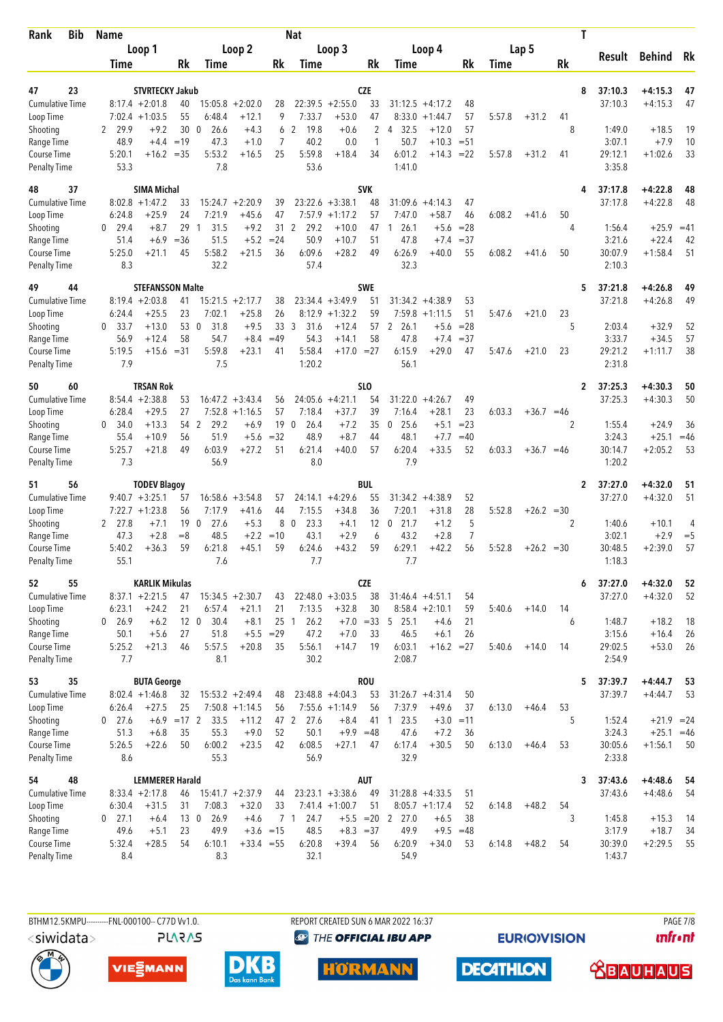| Bib<br>Rank                         |  | Name             |                              |                       |                              |                              |                                | <b>Nat</b>                   |                                        |                 |                                        |                                        |                 |        |              |         | T                       |                              |             |
|-------------------------------------|--|------------------|------------------------------|-----------------------|------------------------------|------------------------------|--------------------------------|------------------------------|----------------------------------------|-----------------|----------------------------------------|----------------------------------------|-----------------|--------|--------------|---------|-------------------------|------------------------------|-------------|
|                                     |  |                  | Loop 1                       |                       |                              | Loop 2                       |                                |                              | Loop 3                                 |                 |                                        | Loop 4                                 |                 |        | Lap 5        |         | Result                  | <b>Behind</b>                | Rk          |
|                                     |  | Time             |                              | Rk                    | Time                         |                              | Rk                             | Time                         |                                        | Rk              | Time                                   |                                        | Rk              | Time   |              | Rk      |                         |                              |             |
| 23<br>47                            |  |                  | <b>STVRTECKY Jakub</b>       |                       |                              |                              |                                |                              |                                        | <b>CZE</b>      |                                        |                                        |                 |        |              |         | 8<br>37:10.3            | $+4:15.3$                    | 47          |
| <b>Cumulative Time</b>              |  |                  | $8:17.4 + 2:01.8$            | 40                    | 15:05.8                      | $+2:02.0$                    | 28                             |                              | $22:39.5 + 2:55.0$                     | 33              | 31:12.5                                | $+4:17.2$                              | 48              |        |              |         | 37:10.3                 | $+4:15.3$                    | 47          |
| Loop Time                           |  |                  | $7:02.4$ +1:03.5             | 55                    | 6:48.4                       | $+12.1$                      | 9                              | 7:33.7                       | $+53.0$                                | 47              | 8:33.0                                 | $+1:44.7$                              | 57              | 5:57.8 | $+31.2$      | 41      |                         |                              |             |
| Shooting                            |  | 29.9<br>2        | $+9.2$                       | 30                    | $\mathbf{0}$<br>26.6         | $+4.3$                       | 6                              | $\overline{2}$<br>19.8       | $+0.6$                                 | $\overline{2}$  | 32.5<br>4                              | $+12.0$                                | 57              |        |              | 8       | 1:49.0                  | $+18.5$                      | 19          |
| Range Time                          |  | 48.9             | $+4.4$                       | $=19$                 | 47.3                         | $+1.0$                       | 7                              | 40.2                         | 0.0                                    | 1               | 50.7                                   | $+10.3$                                | $= 51$          |        |              |         | 3:07.1                  | $+7.9$                       | 10          |
| Course Time<br><b>Penalty Time</b>  |  | 5:20.1<br>53.3   | $+16.2 = 35$                 |                       | 5:53.2<br>7.8                | $+16.5$                      | 25                             | 5:59.8<br>53.6               | $+18.4$                                | 34              | 6:01.2<br>1:41.0                       | $+14.3$                                | $= 22$          | 5:57.8 | $+31.2$      | 41      | 29:12.1<br>3:35.8       | $+1:02.6$                    | 33          |
| 37<br>48                            |  |                  | <b>SIMA Michal</b>           |                       |                              |                              |                                |                              |                                        | <b>SVK</b>      |                                        |                                        |                 |        |              |         | 37:17.8<br>4            | $+4:22.8$                    | 48          |
| <b>Cumulative Time</b>              |  |                  | $8:02.8 +1:47.2$             | 33                    |                              | $15:24.7 + 2:20.9$           | 39                             |                              | $23:22.6 + 3:38.1$                     | 48              | 31:09.6                                | $+4:14.3$                              | 47              |        |              |         | 37:17.8                 | $+4:22.8$                    | 48          |
| Loop Time                           |  | 6:24.8           | +25.9                        | 24                    | 7:21.9                       | $+45.6$                      | 47                             | 7:57.9                       | $+1:17.2$                              | 57              | 7:47.0                                 | $+58.7$                                | 46              | 6:08.2 | $+41.6$      | 50      |                         |                              |             |
| Shooting<br>Range Time              |  | $0$ 29.4<br>51.4 | $+8.7$<br>$+6.9$             | 29<br>$=36$           | 31.5<br>$\mathbf{1}$<br>51.5 | $+9.2$<br>$+5.2$             | 31<br>$= 24$                   | $\mathbf{2}$<br>29.2<br>50.9 | $+10.0$<br>$+10.7$                     | 47<br>51        | 26.1<br>$\mathbf{1}$<br>47.8           | $+5.6$<br>$+7.4$                       | $= 28$<br>$=37$ |        |              | 4       | 1:56.4<br>3:21.6        | $+25.9$<br>$+22.4$           | $=41$<br>42 |
| Course Time                         |  | 5:25.0           | $+21.1$                      | 45                    | 5:58.2                       | $+21.5$                      | 36                             | 6:09.6                       | $+28.2$                                | 49              | 6:26.9                                 | $+40.0$                                | 55              | 6:08.2 | $+41.6$      | 50      | 30:07.9                 | $+1:58.4$                    | 51          |
| <b>Penalty Time</b>                 |  | 8.3              |                              |                       | 32.2                         |                              |                                | 57.4                         |                                        |                 | 32.3                                   |                                        |                 |        |              |         | 2:10.3                  |                              |             |
| 44<br>49                            |  |                  | <b>STEFANSSON Malte</b>      |                       |                              |                              |                                |                              |                                        | <b>SWE</b>      |                                        |                                        |                 |        |              |         | 5<br>37:21.8            | $+4:26.8$                    | 49          |
| <b>Cumulative Time</b><br>Loop Time |  | 6:24.4           | $8:19.4 + 2:03.8$<br>$+25.5$ | 41<br>23              | 7:02.1                       | $15:21.5 +2:17.7$<br>$+25.8$ | 38<br>26                       | 8:12.9                       | $23:34.4 + 3:49.9$<br>$+1:32.2$        | 51<br>59        | 31:34.2<br>7:59.8                      | $+4:38.9$<br>$+1:11.5$                 | 53<br>51        | 5:47.6 | $+21.0$      | 23      | 37:21.8                 | $+4:26.8$                    | 49          |
| Shooting                            |  | 0<br>33.7        | $+13.0$                      | 53                    | $\overline{0}$<br>31.8       | $+9.5$                       | 33 <sup>3</sup>                | 31.6                         | $+12.4$                                | 57              | $\mathbf{2}$<br>26.1                   | $+5.6$                                 | $= 28$          |        |              | 5       | 2:03.4                  | $+32.9$                      | 52          |
| Range Time                          |  | 56.9             | $+12.4$                      | 58                    | 54.7                         | $+8.4$                       | $=49$                          | 54.3                         | $+14.1$                                | 58              | 47.8                                   | $+7.4$                                 | $=37$           |        |              |         | 3:33.7                  | $+34.5$                      | 57          |
| Course Time<br><b>Penalty Time</b>  |  | 5:19.5<br>7.9    | $+15.6 = 31$                 |                       | 5:59.8<br>7.5                | $+23.1$                      | 41                             | 5:58.4<br>1:20.2             | $+17.0 = 27$                           |                 | 6:15.9<br>56.1                         | $+29.0$                                | 47              | 5:47.6 | $+21.0$      | 23      | 29:21.2<br>2:31.8       | $+1:11.7$                    | 38          |
| 60<br>50                            |  |                  | <b>TRSAN Rok</b>             |                       |                              |                              |                                |                              |                                        | SL <sub>0</sub> |                                        |                                        |                 |        |              |         | 37:25.3<br>$\mathbf{2}$ | $+4:30.3$                    | 50          |
| <b>Cumulative Time</b>              |  |                  | $8:54.4 +2:38.8$             | 53                    |                              | $16:47.2 + 3:43.4$           | 56                             |                              | $24:05.6 +4:21.1$                      | 54              | 31:22.0                                | $+4:26.7$                              | 49              |        |              |         | 37:25.3                 | $+4:30.3$                    | 50          |
| Loop Time                           |  | 6:28.4           | $+29.5$                      | 27                    | 7:52.8                       | $+1:16.5$                    | 57                             | 7:18.4                       | $+37.7$                                | 39              | 7:16.4                                 | $+28.1$                                | 23              | 6:03.3 | $+36.7 = 46$ |         |                         |                              |             |
| Shooting                            |  | 0, 34.0          | $+13.3$                      | 54 2                  | 29.2                         | $+6.9$                       | 19                             | 26.4<br>$\overline{0}$       | $+7.2$                                 | 35              | $0$ 25.6                               | $+5.1$                                 | $= 23$          |        |              | 2       | 1:55.4                  | $+24.9$                      | 36          |
| Range Time<br>Course Time           |  | 55.4<br>5:25.7   | $+10.9$<br>$+21.8$           | 56<br>49              | 51.9<br>6:03.9               | $+5.6$<br>$+27.2$            | $=32$<br>51                    | 48.9<br>6:21.4               | $+8.7$<br>$+40.0$                      | 44<br>57        | 48.1<br>6:20.4                         | $+7.7$<br>$+33.5$                      | $=40$<br>52     | 6:03.3 | $+36.7 = 46$ |         | 3:24.3<br>30:14.7       | $+25.1$<br>$+2:05.2$         | $=46$<br>53 |
| <b>Penalty Time</b>                 |  | 7.3              |                              |                       | 56.9                         |                              |                                | 8.0                          |                                        |                 | 7.9                                    |                                        |                 |        |              |         | 1:20.2                  |                              |             |
| 56<br>51                            |  |                  | <b>TODEV Blagoy</b>          |                       |                              |                              |                                |                              |                                        | BUL             |                                        |                                        |                 |        |              |         | 37:27.0<br>2            | $+4:32.0$                    | 51          |
| <b>Cumulative Time</b>              |  |                  | $9:40.7 + 3:25.1$            | 57                    |                              | $16:58.6 + 3:54.8$           | 57                             |                              | $24:14.1 + 4:29.6$                     | 55              |                                        | $31:34.2 +4:38.9$                      | 52              |        |              |         | 37:27.0                 | $+4:32.0$                    | 51          |
| Loop Time                           |  |                  | $7:22.7 +1:23.8$             | 56                    | 7:17.9                       | $+41.6$                      | 44                             | 7:15.5                       | $+34.8$                                | 36              | 7:20.1                                 | $+31.8$                                | 28              | 5:52.8 | $+26.2 = 30$ |         |                         |                              |             |
| Shooting<br>Range Time              |  | 2 27.8<br>47.3   | $+7.1$<br>$+2.8$             | 19<br>$=8$            | $\mathbf 0$<br>27.6<br>48.5  | $+5.3$<br>$+2.2$             | 8<br>$=10$                     | 23.3<br>$\mathbf 0$<br>43.1  | $+4.1$<br>$+2.9$                       | 12<br>6         | 21.7<br>$\mathbf 0$<br>43.2            | $+1.2$<br>$+2.8$                       | 5<br>7          |        |              | 2       | 1:40.6<br>3:02.1        | $+10.1$<br>$+2.9$            | 4<br>$=$ 5  |
| <b>Course Time</b>                  |  | 5:40.2           | +36.3                        | 59                    | 6:21.8                       | $+45.1$                      | 59                             | 6:24.6                       | $+43.2$                                | 59              | 6:29.1                                 | $+42.2$                                | 56              | 5:52.8 | $+26.2 = 30$ |         | 30:48.5                 | $+2:39.0$                    | 57          |
| <b>Penalty Time</b>                 |  | 55.1             |                              |                       | 7.6                          |                              |                                | 7.7                          |                                        |                 | 7.7                                    |                                        |                 |        |              |         | 1:18.3                  |                              |             |
| 55<br>52                            |  |                  | <b>KARLIK Mikulas</b>        |                       |                              |                              |                                |                              |                                        | <b>CZE</b>      |                                        |                                        |                 |        |              |         | 37:27.0<br>6            | $+4:32.0$                    | 52          |
| <b>Cumulative Time</b>              |  |                  | $8:37.1 + 2:21.5$            | 47                    |                              | $15:34.5 + 2:30.7$           | 43                             |                              | $22:48.0 + 3:03.5$                     | 38              |                                        | $31:46.4 + 4:51.1$                     | 54              |        |              |         | 37:27.0                 | $+4:32.0$                    | 52          |
| Loop Time                           |  | 6:23.1           | $+24.2$                      | 21                    | 6:57.4                       | $+21.1$                      | 21                             | 7:13.5                       | $+32.8$                                | 30              |                                        | $8:58.4 +2:10.1$                       | 59              | 5:40.6 | $+14.0$      | 14      |                         |                              |             |
| Shooting<br>Range Time              |  | 0 26.9<br>50.1   | $+6.2$<br>$+5.6$             | 12 <sub>0</sub><br>27 | 30.4<br>51.8                 | $+8.1$                       | 25 <sub>1</sub><br>$+5.5 = 29$ | 26.2<br>47.2                 | $+7.0$                                 | 33              | $+7.0 = 33 \quad 5 \quad 25.1$<br>46.5 | $+4.6$<br>$+6.1$                       | 21<br>26        |        |              | 6       | 1:48.7<br>3:15.6        | $+18.2$<br>$+16.4$           | 18<br>26    |
| Course Time                         |  | 5:25.2           | $+21.3$                      | 46                    | 5:57.5                       | $+20.8$                      | 35                             | 5:56.1                       | $+14.7$                                | 19              | 6:03.1                                 | $+16.2 = 27$                           |                 | 5:40.6 | $+14.0$      | 14      | 29:02.5                 | $+53.0$                      | -26         |
| <b>Penalty Time</b>                 |  | 7.7              |                              |                       | 8.1                          |                              |                                | 30.2                         |                                        |                 | 2:08.7                                 |                                        |                 |        |              |         | 2:54.9                  |                              |             |
| 35<br>53                            |  |                  | <b>BUTA George</b>           |                       |                              |                              |                                |                              |                                        | <b>ROU</b>      |                                        |                                        |                 |        |              |         | 5<br>37:39.7            | $+4:44.7$                    | 53          |
| Cumulative Time                     |  |                  | $8:02.4 +1:46.8$             | 32                    |                              | $15:53.2 + 2:49.4$           | 48                             |                              | $23:48.8 + 4:04.3$                     | 53              |                                        | $31:26.7 +4:31.4$                      | 50              |        |              |         | 37:39.7                 | $+4:44.7$                    | 53          |
| Loop Time                           |  | 6:26.4           | $+27.5$                      | 25                    |                              | $7:50.8 +1:14.5$             | 56                             |                              | $7:55.6 +1:14.9$                       | 56              | 7:37.9<br>23.5                         | $+49.6$                                | 37              | 6:13.0 | $+46.4$      | 53<br>5 |                         |                              |             |
| Shooting<br>Range Time              |  | $0$ 27.6<br>51.3 | $+6.9$<br>$+6.8$             | $=17$ 2<br>35         | 33.5<br>55.3                 | $+11.2$<br>$+9.0$            | 47 2<br>52                     | 27.6<br>50.1                 | $+8.4$<br>$+9.9 = 48$                  | 41              | $\overline{1}$<br>47.6                 | $+3.0$<br>$+7.2$                       | $=11$<br>36     |        |              |         | 1:52.4<br>3:24.3        | $+21.9 = 24$<br>$+25.1 = 46$ |             |
| Course Time                         |  | 5:26.5           | $+22.6$                      | 50                    | 6:00.2                       | $+23.5$                      | 42                             | 6:08.5                       | $+27.1$                                | 47              | 6:17.4                                 | $+30.5$                                | 50              | 6:13.0 | $+46.4$      | 53      | 30:05.6                 | $+1:56.1$                    | 50          |
| <b>Penalty Time</b>                 |  | 8.6              |                              |                       | 55.3                         |                              |                                | 56.9                         |                                        |                 | 32.9                                   |                                        |                 |        |              |         | 2:33.8                  |                              |             |
| 48<br>54                            |  |                  | <b>LEMMERER Harald</b>       |                       |                              |                              |                                |                              |                                        | <b>AUT</b>      |                                        |                                        |                 |        |              |         | 37:43.6<br>3            | $+4:48.6$                    | 54          |
| <b>Cumulative Time</b><br>Loop Time |  | 6:30.4           | $8:33.4 +2:17.8$<br>$+31.5$  | 46<br>31              | 7:08.3                       | $15:41.7 +2:37.9$<br>$+32.0$ | 44<br>33                       |                              | $23:23.1 + 3:38.6$<br>$7:41.4 +1:00.7$ | 49<br>51        |                                        | $31:28.8 + 4:33.5$<br>$8:05.7 +1:17.4$ | 51<br>52        | 6:14.8 | $+48.2$      | 54      | 37:43.6                 | $+4:48.6$                    | 54          |
| Shooting                            |  | $0$ 27.1         | $+6.4$                       | 13 <sub>0</sub>       | 26.9                         | $+4.6$                       |                                | 7 1<br>24.7                  |                                        |                 | $+5.5$ = 20 2 27.0                     | $+6.5$                                 | 38              |        |              | 3       | 1:45.8                  | $+15.3$                      | 14          |
| Range Time                          |  | 49.6             | $+5.1$                       | 23                    | 49.9                         |                              | $+3.6 = 15$                    | 48.5                         | $+8.3 = 37$                            |                 | 49.9                                   | $+9.5$                                 | $=48$           |        |              |         | 3:17.9                  | $+18.7$                      | 34          |
| Course Time                         |  | 5:32.4           | $+28.5$                      | 54                    | 6:10.1                       | $+33.4 = 55$                 |                                | 6:20.8                       | $+39.4$                                | 56              | 6:20.9                                 | $+34.0$                                | 53              | 6:14.8 | $+48.2$      | 54      | 30:39.0                 | $+2:29.5$                    | 55          |
| <b>Penalty Time</b>                 |  | 8.4              |                              |                       | 8.3                          |                              |                                | 32.1                         |                                        |                 | 54.9                                   |                                        |                 |        |              |         | 1:43.7                  |                              |             |

**PLARAS** 

BTHM12.5KMPU---------FNL-000100-- C77D Vv1.0. REPORT CREATED SUN 6 MAR 2022 16:37 PAGE 7/8 **<sup><sup>3</sup>** THE OFFICIAL IBU APP</sup>

**HÖRMANN** 

**EURIOVISION** 

*<u><u>Infront</u>*</u>







**DECATHLON**